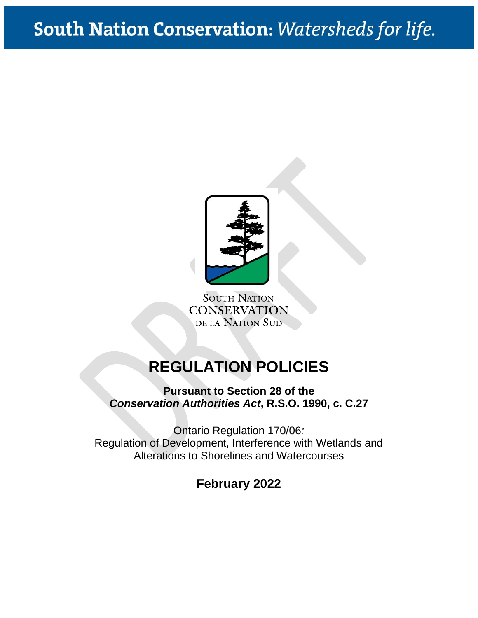

**SOUTH NATION CONSERVATION** DE LA NATION SUD

# **REGULATION POLICIES**

**Pursuant to Section 28 of the** *Conservation Authorities Act***, R.S.O. 1990, c. C.27**

Ontario Regulation 170/06*:* Regulation of Development, Interference with Wetlands and Alterations to Shorelines and Watercourses

**February 2022**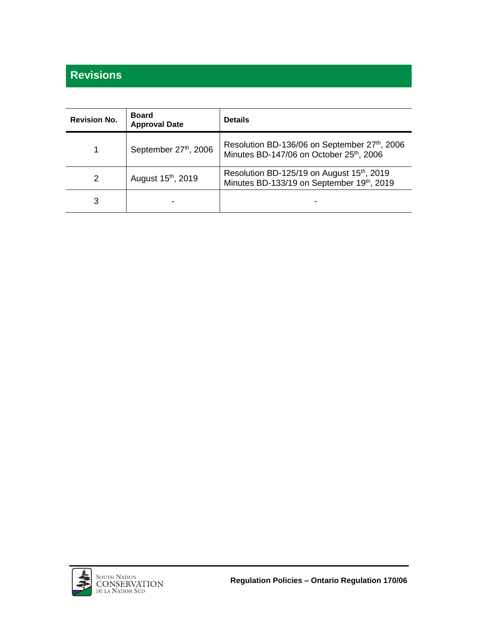## **Revisions**

| <b>Revision No.</b> | <b>Board</b><br><b>Approval Date</b> | <b>Details</b>                                                                                       |
|---------------------|--------------------------------------|------------------------------------------------------------------------------------------------------|
| 1                   | September 27th, 2006                 | Resolution BD-136/06 on September 27th, 2006<br>Minutes BD-147/06 on October 25 <sup>th</sup> , 2006 |
| 2                   | August 15 <sup>th</sup> , 2019       | Resolution BD-125/19 on August 15 <sup>th</sup> , 2019<br>Minutes BD-133/19 on September 19th, 2019  |
| 3                   |                                      |                                                                                                      |

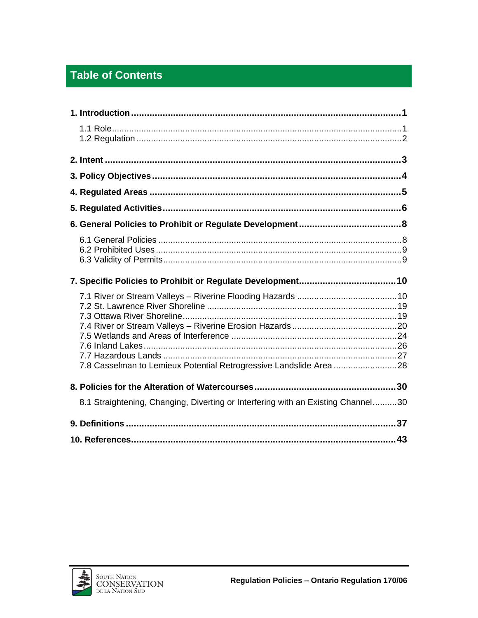## **Table of Contents**

| 7.8 Casselman to Lemieux Potential Retrogressive Landslide Area28                |  |
|----------------------------------------------------------------------------------|--|
|                                                                                  |  |
| 8.1 Straightening, Changing, Diverting or Interfering with an Existing Channel30 |  |
|                                                                                  |  |

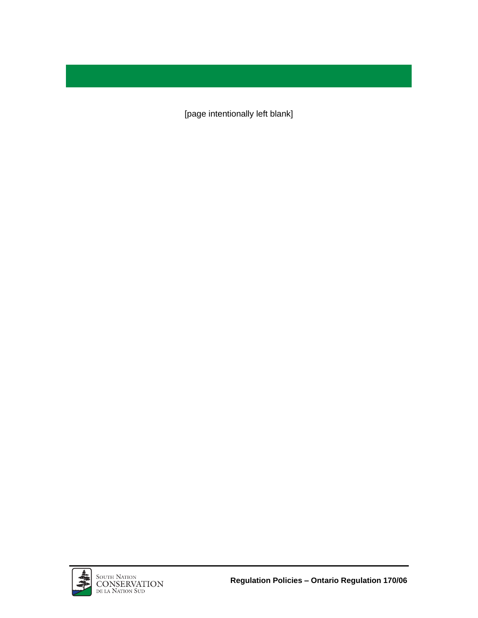[page intentionally left blank]

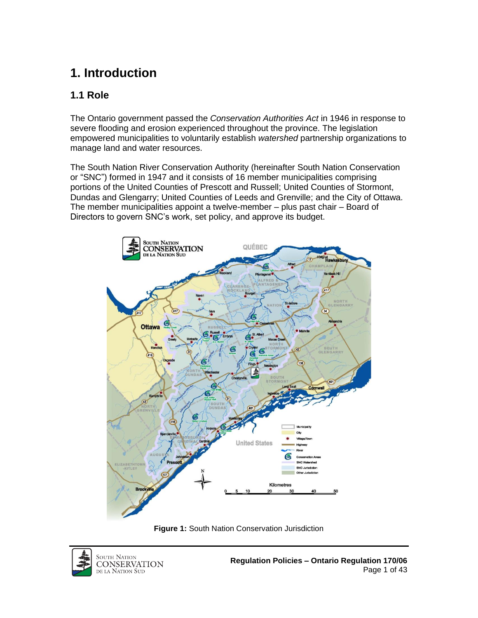## <span id="page-4-0"></span>**1. Introduction**

### <span id="page-4-1"></span>**1.1 Role**

The Ontario government passed the *Conservation Authorities Act* in 1946 in response to severe flooding and erosion experienced throughout the province. The legislation empowered municipalities to voluntarily establish *watershed* partnership organizations to manage land and water resources.

The South Nation River Conservation Authority (hereinafter South Nation Conservation or "SNC") formed in 1947 and it consists of 16 member municipalities comprising portions of the United Counties of Prescott and Russell; United Counties of Stormont, Dundas and Glengarry; United Counties of Leeds and Grenville; and the City of Ottawa. The member municipalities appoint a twelve-member – plus past chair – Board of Directors to govern SNC's work, set policy, and approve its budget.



**Figure 1:** South Nation Conservation Jurisdiction

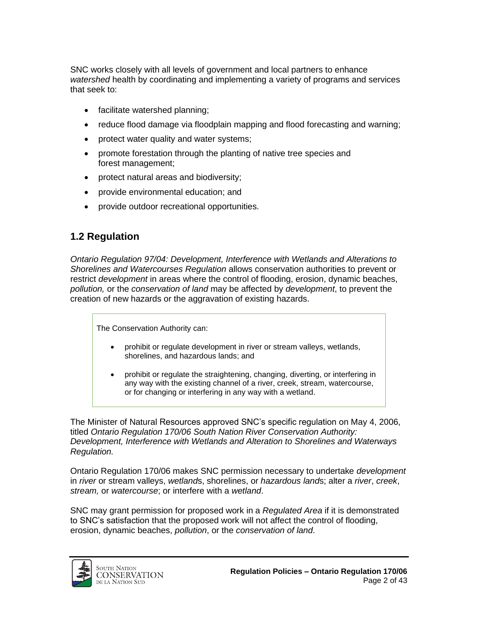SNC works closely with all levels of government and local partners to enhance *watershed* health by coordinating and implementing a variety of programs and services that seek to:

- facilitate watershed planning;
- reduce flood damage via floodplain mapping and flood forecasting and warning;
- protect water quality and water systems;
- promote forestation through the planting of native tree species and forest management;
- protect natural areas and biodiversity;
- provide environmental education; and
- provide outdoor recreational opportunities.

### <span id="page-5-0"></span>**1.2 Regulation**

*Ontario Regulation 97/04: Development, Interference with Wetlands and Alterations to Shorelines and Watercourses Regulation* allows conservation authorities to prevent or restrict *development* in areas where the control of flooding, erosion, dynamic beaches, *pollution,* or the *conservation of land* may be affected by *development*, to prevent the creation of new hazards or the aggravation of existing hazards.

The Conservation Authority can:

- prohibit or regulate development in river or stream valleys, wetlands, shorelines, and hazardous lands; and
- prohibit or regulate the straightening, changing, diverting, or interfering in any way with the existing channel of a river, creek, stream, watercourse, or for changing or interfering in any way with a wetland.

The Minister of Natural Resources approved SNC's specific regulation on May 4, 2006, titled *Ontario Regulation 170/06 South Nation River Conservation Authority: Development, Interference with Wetlands and Alteration to Shorelines and Waterways Regulation.*

Ontario Regulation 170/06 makes SNC permission necessary to undertake *development* in *river* or stream valleys, *wetland*s, shorelines, or *hazardous land*s; alter a *river*, *creek*, *stream,* or *watercourse*; or interfere with a *wetland*.

SNC may grant permission for proposed work in a *Regulated Area* if it is demonstrated to SNC's satisfaction that the proposed work will not affect the control of flooding, erosion, dynamic beaches, *pollution*, or the *conservation of land*.

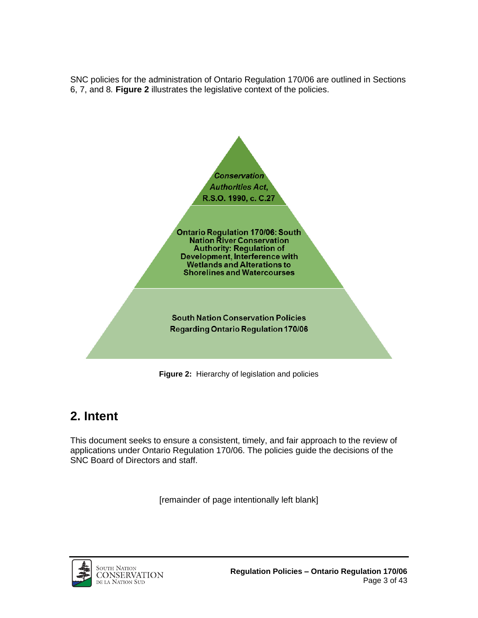SNC policies for the administration of Ontario Regulation 170/06 are outlined in Sections 6, 7, and 8*.* **Figure 2** illustrates the legislative context of the policies.



**Figure 2:** Hierarchy of legislation and policies

## <span id="page-6-0"></span>**2. Intent**

This document seeks to ensure a consistent, timely, and fair approach to the review of applications under Ontario Regulation 170/06. The policies guide the decisions of the SNC Board of Directors and staff.

[remainder of page intentionally left blank]

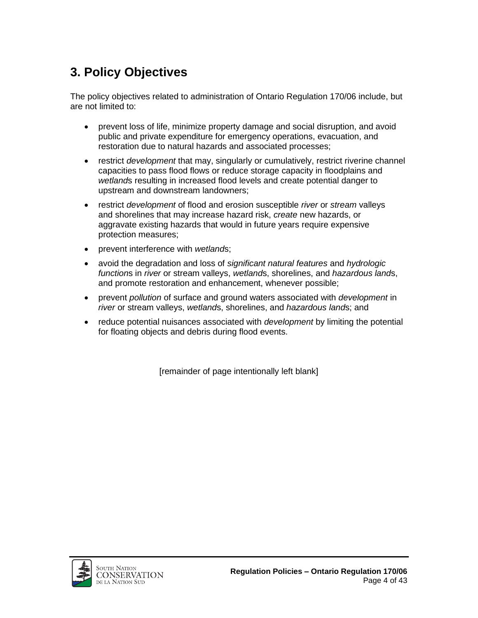## <span id="page-7-0"></span>**3. Policy Objectives**

The policy objectives related to administration of Ontario Regulation 170/06 include, but are not limited to:

- prevent loss of life, minimize property damage and social disruption, and avoid public and private expenditure for emergency operations, evacuation, and restoration due to natural hazards and associated processes;
- restrict *development* that may, singularly or cumulatively, restrict riverine channel capacities to pass flood flows or reduce storage capacity in floodplains and *wetland*s resulting in increased flood levels and create potential danger to upstream and downstream landowners;
- restrict *development* of flood and erosion susceptible *river* or *stream* valleys and shorelines that may increase hazard risk, *create* new hazards, or aggravate existing hazards that would in future years require expensive protection measures;
- prevent interference with *wetland*s;
- avoid the degradation and loss of *significant natural features* and *hydrologic function*s in *river* or stream valleys, *wetland*s, shorelines, and *hazardous land*s, and promote restoration and enhancement, whenever possible;
- prevent *pollution* of surface and ground waters associated with *development* in *river* or stream valleys, *wetland*s, shorelines, and *hazardous land*s; and
- reduce potential nuisances associated with *development* by limiting the potential for floating objects and debris during flood events.

[remainder of page intentionally left blank]

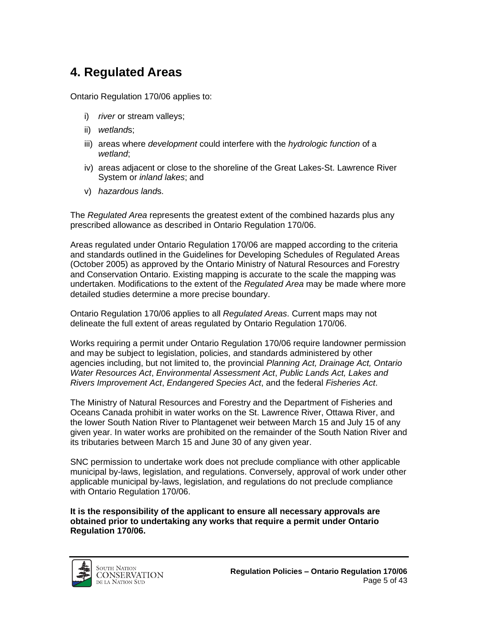## <span id="page-8-0"></span>**4. Regulated Areas**

Ontario Regulation 170/06 applies to:

- i) *river* or stream valleys;
- ii) *wetland*s;
- iii) areas where *development* could interfere with the *hydrologic function* of a *wetland*;
- iv) areas adjacent or close to the shoreline of the Great Lakes-St. Lawrence River System or *inland lakes*; and
- v) *hazardous land*s.

The *Regulated Area* represents the greatest extent of the combined hazards plus any prescribed allowance as described in Ontario Regulation 170/06.

Areas regulated under Ontario Regulation 170/06 are mapped according to the criteria and standards outlined in the Guidelines for Developing Schedules of Regulated Areas (October 2005) as approved by the Ontario Ministry of Natural Resources and Forestry and Conservation Ontario. Existing mapping is accurate to the scale the mapping was undertaken. Modifications to the extent of the *Regulated Area* may be made where more detailed studies determine a more precise boundary.

Ontario Regulation 170/06 applies to all *Regulated Areas*. Current maps may not delineate the full extent of areas regulated by Ontario Regulation 170/06.

Works requiring a permit under Ontario Regulation 170/06 require landowner permission and may be subject to legislation, policies, and standards administered by other agencies including, but not limited to, the provincial *Planning Act, Drainage Act, Ontario Water Resources Act*, *Environmental Assessment Act*, *Public Lands Act, Lakes and Rivers Improvement Act*, *Endangered Species Act*, and the federal *Fisheries Act*.

The Ministry of Natural Resources and Forestry and the Department of Fisheries and Oceans Canada prohibit in water works on the St. Lawrence River, Ottawa River, and the lower South Nation River to Plantagenet weir between March 15 and July 15 of any given year. In water works are prohibited on the remainder of the South Nation River and its tributaries between March 15 and June 30 of any given year.

SNC permission to undertake work does not preclude compliance with other applicable municipal by-laws, legislation, and regulations. Conversely, approval of work under other applicable municipal by-laws, legislation, and regulations do not preclude compliance with Ontario Regulation 170/06.

**It is the responsibility of the applicant to ensure all necessary approvals are obtained prior to undertaking any works that require a permit under Ontario Regulation 170/06.**

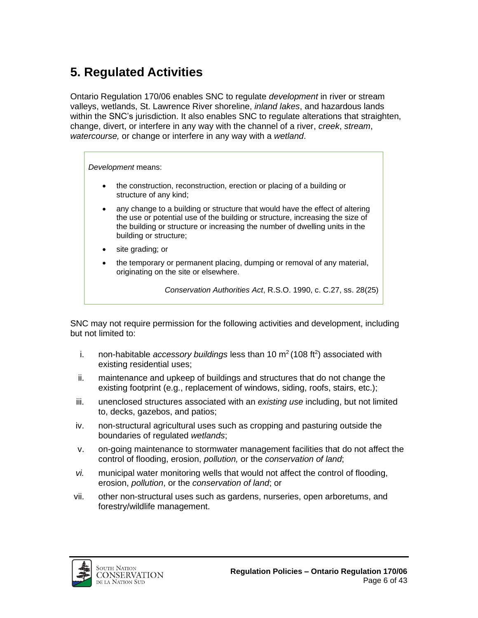## <span id="page-9-0"></span>**5. Regulated Activities**

Ontario Regulation 170/06 enables SNC to regulate *development* in river or stream valleys, wetlands, St. Lawrence River shoreline, *inland lakes*, and hazardous lands within the SNC's jurisdiction. It also enables SNC to regulate alterations that straighten, change, divert, or interfere in any way with the channel of a river, *creek*, *stream*, *watercourse,* or change or interfere in any way with a *wetland*.

*Development* means:

- the construction, reconstruction, erection or placing of a building or structure of any kind;
- any change to a building or structure that would have the effect of altering the use or potential use of the building or structure, increasing the size of the building or structure or increasing the number of dwelling units in the building or structure;
- site grading; or
- the temporary or permanent placing, dumping or removal of any material, originating on the site or elsewhere.

*Conservation Authorities Act*, R.S.O. 1990, c. C.27, ss. 28(25)

SNC may not require permission for the following activities and development, including but not limited to:

- i. non-habitable *accessory buildings* less than 10 m<sup>2</sup> (108 ft<sup>2</sup>) associated with existing residential uses;
- ii. maintenance and upkeep of buildings and structures that do not change the existing footprint (e.g., replacement of windows, siding, roofs, stairs, etc.);
- iii. unenclosed structures associated with an *existing use* including, but not limited to, decks, gazebos, and patios;
- iv. non-structural agricultural uses such as cropping and pasturing outside the boundaries of regulated *wetlands*;
- v. on-going maintenance to stormwater management facilities that do not affect the control of flooding, erosion, *pollution,* or the *conservation of land*;
- *vi.* municipal water monitoring wells that would not affect the control of flooding, erosion, *pollution*, or the *conservation of land*; or
- vii. other non-structural uses such as gardens, nurseries, open arboretums, and forestry/wildlife management.

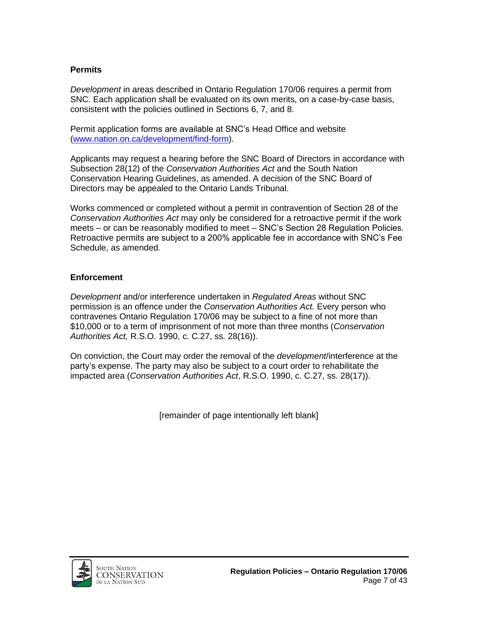#### **Permits**

*Development* in areas described in Ontario Regulation 170/06 requires a permit from SNC. Each application shall be evaluated on its own merits, on a case-by-case basis, consistent with the policies outlined in Sections 6, 7, and 8.

Permit application forms are available at SNC's Head Office and website [\(www.nation.on.ca/development/find-form\)](http://www.nation.on.ca/development/find-form).

Applicants may request a hearing before the SNC Board of Directors in accordance with Subsection 28(12) of the *Conservation Authorities Act* and the South Nation Conservation Hearing Guidelines, as amended. A decision of the SNC Board of Directors may be appealed to the Ontario Lands Tribunal.

Works commenced or completed without a permit in contravention of Section 28 of the *Conservation Authorities Act* may only be considered for a retroactive permit if the work meets – or can be reasonably modified to meet – SNC's Section 28 Regulation Policies. Retroactive permits are subject to a 200% applicable fee in accordance with SNC's Fee Schedule, as amended.

#### **Enforcement**

*Development* and/or interference undertaken in *Regulated Areas* without SNC permission is an offence under the *Conservation Authorities Act.* Every person who contravenes Ontario Regulation 170/06 may be subject to a fine of not more than \$10,000 or to a term of imprisonment of not more than three months (*Conservation Authorities Act,* R.S.O. 1990, c. C.27, ss. 28(16)).

On conviction, the Court may order the removal of the *development*/interference at the party's expense. The party may also be subject to a court order to rehabilitate the impacted area (*Conservation Authorities Act*, R.S.O. 1990, c. C.27, ss. 28(17)).

[remainder of page intentionally left blank]

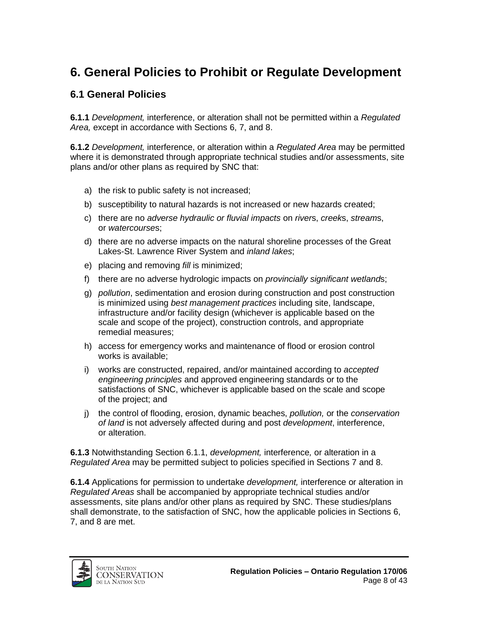## <span id="page-11-0"></span>**6. General Policies to Prohibit or Regulate Development**

### <span id="page-11-1"></span>**6.1 General Policies**

**6.1.1** *Development,* interference, or alteration shall not be permitted within a *Regulated Area,* except in accordance with Sections 6, 7, and 8.

**6.1.2** *Development,* interference, or alteration within a *Regulated Area* may be permitted where it is demonstrated through appropriate technical studies and/or assessments, site plans and/or other plans as required by SNC that:

- a) the risk to public safety is not increased;
- b) susceptibility to natural hazards is not increased or new hazards created;
- c) there are no *adverse hydraulic or fluvial impacts* on *river*s, *creek*s, *stream*s, or *watercourse*s;
- d) there are no adverse impacts on the natural shoreline processes of the Great Lakes-St. Lawrence River System and *inland lakes*;
- e) placing and removing *fill* is minimized;
- f) there are no adverse hydrologic impacts on *provincially significant wetland*s;
- g) *pollution*, sedimentation and erosion during construction and post construction is minimized using *best management practices* including site, landscape, infrastructure and/or facility design (whichever is applicable based on the scale and scope of the project), construction controls, and appropriate remedial measures;
- h) access for emergency works and maintenance of flood or erosion control works is available;
- i) works are constructed, repaired, and/or maintained according to *accepted engineering principles* and approved engineering standards or to the satisfactions of SNC, whichever is applicable based on the scale and scope of the project; and
- j) the control of flooding, erosion, dynamic beaches, *pollution,* or the *conservation of land* is not adversely affected during and post *development*, interference, or alteration.

**6.1.3** Notwithstanding Section 6.1.1, *development,* interference*,* or alteration in a *Regulated Area* may be permitted subject to policies specified in Sections 7 and 8.

**6.1.4** Applications for permission to undertake *development,* interference or alteration in *Regulated Areas* shall be accompanied by appropriate technical studies and/or assessments, site plans and/or other plans as required by SNC. These studies/plans shall demonstrate, to the satisfaction of SNC, how the applicable policies in Sections 6, 7, and 8 are met.

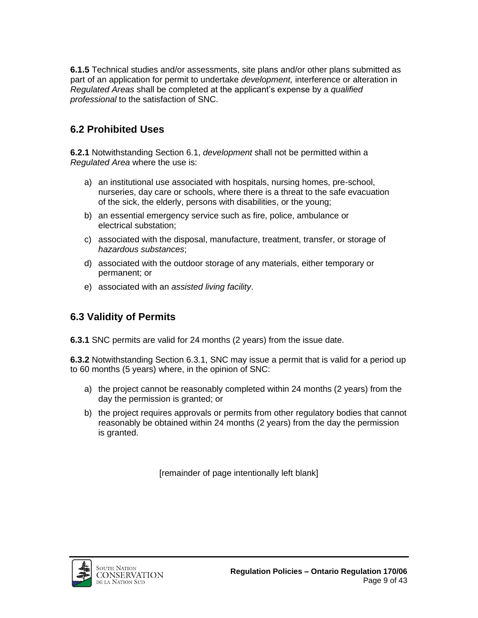**6.1.5** Technical studies and/or assessments, site plans and/or other plans submitted as part of an application for permit to undertake *development,* interference or alteration in *Regulated Areas* shall be completed at the applicant's expense by a *qualified professional* to the satisfaction of SNC.

### <span id="page-12-0"></span>**6.2 Prohibited Uses**

**6.2.1** Notwithstanding Section 6.1, *development* shall not be permitted within a *Regulated Area* where the use is:

- a) an institutional use associated with hospitals, nursing homes, pre-school, nurseries, day care or schools, where there is a threat to the safe evacuation of the sick, the elderly, persons with disabilities, or the young;
- b) an essential emergency service such as fire, police, ambulance or electrical substation;
- c) associated with the disposal, manufacture, treatment, transfer, or storage of *hazardous substances*;
- d) associated with the outdoor storage of any materials, either temporary or permanent; or
- e) associated with an *assisted living facility*.

### <span id="page-12-1"></span>**6.3 Validity of Permits**

**6.3.1** SNC permits are valid for 24 months (2 years) from the issue date.

**6.3.2** Notwithstanding Section 6.3.1, SNC may issue a permit that is valid for a period up to 60 months (5 years) where, in the opinion of SNC:

- a) the project cannot be reasonably completed within 24 months (2 years) from the day the permission is granted; or
- b) the project requires approvals or permits from other regulatory bodies that cannot reasonably be obtained within 24 months (2 years) from the day the permission is granted.

[remainder of page intentionally left blank]

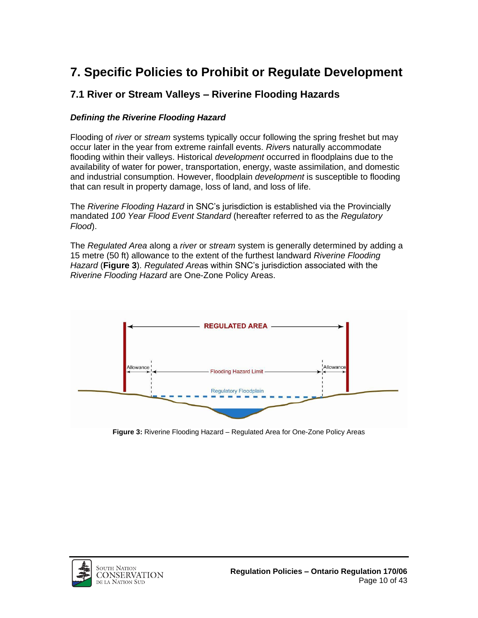## <span id="page-13-0"></span>**7. Specific Policies to Prohibit or Regulate Development**

### <span id="page-13-1"></span>**7.1 River or Stream Valleys – Riverine Flooding Hazards**

#### *Defining the Riverine Flooding Hazard*

Flooding of *river* or *stream* systems typically occur following the spring freshet but may occur later in the year from extreme rainfall events. *River*s naturally accommodate flooding within their valleys. Historical *development* occurred in floodplains due to the availability of water for power, transportation, energy, waste assimilation, and domestic and industrial consumption. However, floodplain *development* is susceptible to flooding that can result in property damage, loss of land, and loss of life.

The *Riverine Flooding Hazard* in SNC's jurisdiction is established via the Provincially mandated *100 Year Flood Event Standard* (hereafter referred to as the *Regulatory Flood*).

The *Regulated Area* along a *river* or *stream* system is generally determined by adding a 15 metre (50 ft) allowance to the extent of the furthest landward *Riverine Flooding Hazard* (**Figure 3**). *Regulated Area*s within SNC's jurisdiction associated with the *Riverine Flooding Hazard* are One-Zone Policy Areas.



**Figure 3:** Riverine Flooding Hazard – Regulated Area for One-Zone Policy Areas

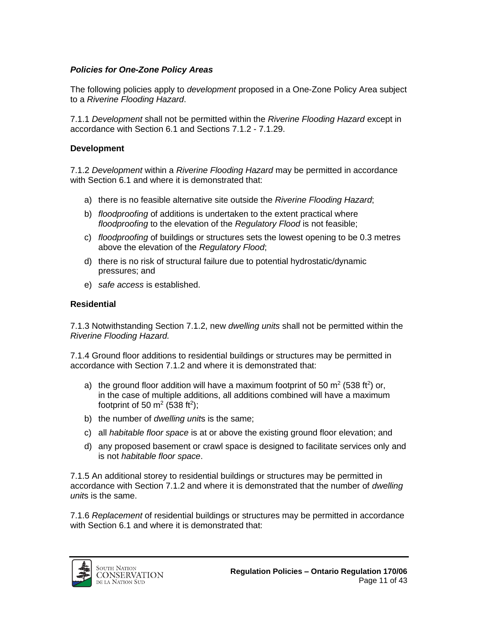#### *Policies for One-Zone Policy Areas*

The following policies apply to *development* proposed in a One-Zone Policy Area subject to a *Riverine Flooding Hazard*.

7.1.1 *Development* shall not be permitted within the *Riverine Flooding Hazard* except in accordance with Section 6.1 and Sections 7.1.2 - 7.1.29.

#### **Development**

7.1.2 *Development* within a *Riverine Flooding Hazard* may be permitted in accordance with Section 6.1 and where it is demonstrated that:

- a) there is no feasible alternative site outside the *Riverine Flooding Hazard*;
- b) *floodproofing* of additions is undertaken to the extent practical where *floodproofing* to the elevation of the *Regulatory Flood* is not feasible;
- c) *floodproofing* of buildings or structures sets the lowest opening to be 0.3 metres above the elevation of the *Regulatory Flood*;
- d) there is no risk of structural failure due to potential hydrostatic/dynamic pressures; and
- e) *safe access* is established.

#### **Residential**

7.1.3 Notwithstanding Section 7.1.2, new *dwelling units* shall not be permitted within the *Riverine Flooding Hazard.*

7.1.4 Ground floor additions to residential buildings or structures may be permitted in accordance with Section 7.1.2 and where it is demonstrated that:

- a) the ground floor addition will have a maximum footprint of 50 m<sup>2</sup> (538 ft<sup>2</sup>) or, in the case of multiple additions, all additions combined will have a maximum footprint of 50  $m<sup>2</sup>$  (538 ft<sup>2</sup>);
- b) the number of *dwelling unit*s is the same;
- c) all *habitable floor space* is at or above the existing ground floor elevation; and
- d) any proposed basement or crawl space is designed to facilitate services only and is not *habitable floor space*.

7.1.5 An additional storey to residential buildings or structures may be permitted in accordance with Section 7.1.2 and where it is demonstrated that the number of *dwelling unit*s is the same.

7.1.6 *Replacement* of residential buildings or structures may be permitted in accordance with Section 6.1 and where it is demonstrated that:

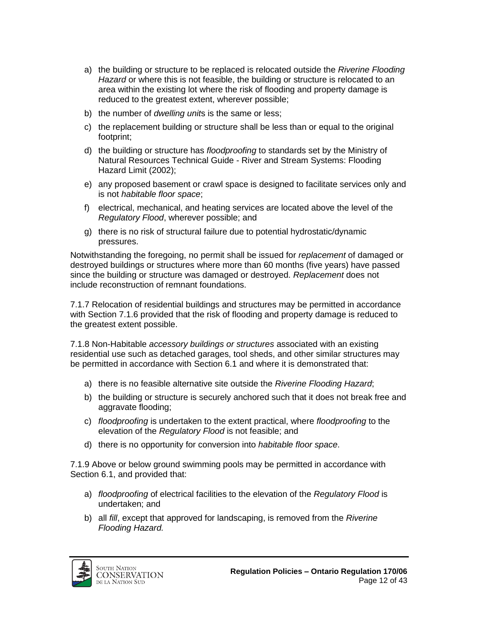- a) the building or structure to be replaced is relocated outside the *Riverine Flooding Hazard* or where this is not feasible, the building or structure is relocated to an area within the existing lot where the risk of flooding and property damage is reduced to the greatest extent, wherever possible;
- b) the number of *dwelling unit*s is the same or less;
- c) the replacement building or structure shall be less than or equal to the original footprint;
- d) the building or structure has *floodproofing* to standards set by the Ministry of Natural Resources Technical Guide - River and Stream Systems: Flooding Hazard Limit (2002);
- e) any proposed basement or crawl space is designed to facilitate services only and is not *habitable floor space*;
- f) electrical, mechanical, and heating services are located above the level of the *Regulatory Flood*, wherever possible; and
- g) there is no risk of structural failure due to potential hydrostatic/dynamic pressures.

Notwithstanding the foregoing, no permit shall be issued for *replacement* of damaged or destroyed buildings or structures where more than 60 months (five years) have passed since the building or structure was damaged or destroyed. *Replacement* does not include reconstruction of remnant foundations.

7.1.7 Relocation of residential buildings and structures may be permitted in accordance with Section 7.1.6 provided that the risk of flooding and property damage is reduced to the greatest extent possible.

7.1.8 Non-Habitable *accessory buildings or structures* associated with an existing residential use such as detached garages, tool sheds, and other similar structures may be permitted in accordance with Section 6.1 and where it is demonstrated that:

- a) there is no feasible alternative site outside the *Riverine Flooding Hazard*;
- b) the building or structure is securely anchored such that it does not break free and aggravate flooding;
- c) *floodproofing* is undertaken to the extent practical, where *floodproofing* to the elevation of the *Regulatory Flood* is not feasible; and
- d) there is no opportunity for conversion into *habitable floor space*.

7.1.9 Above or below ground swimming pools may be permitted in accordance with Section 6.1, and provided that:

- a) *floodproofing* of electrical facilities to the elevation of the *Regulatory Flood* is undertaken; and
- b) all *fill*, except that approved for landscaping, is removed from the *Riverine Flooding Hazard.*

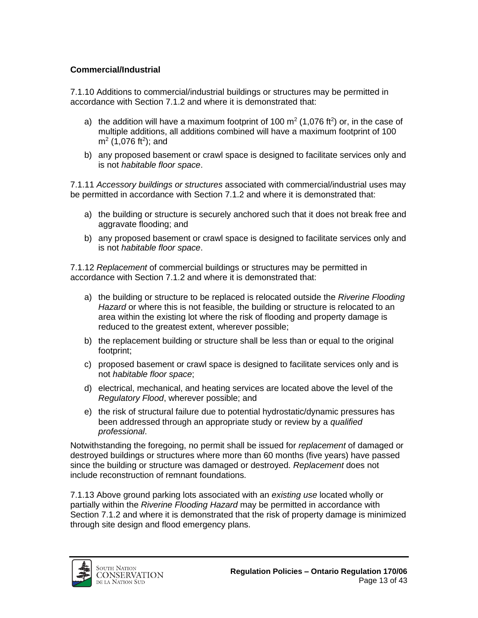#### **Commercial/Industrial**

7.1.10 Additions to commercial/industrial buildings or structures may be permitted in accordance with Section 7.1.2 and where it is demonstrated that:

- a) the addition will have a maximum footprint of 100 m<sup>2</sup> (1,076 ft<sup>2</sup>) or, in the case of multiple additions, all additions combined will have a maximum footprint of 100  $m<sup>2</sup>$  (1,076 ft<sup>2</sup>); and
- b) any proposed basement or crawl space is designed to facilitate services only and is not *habitable floor space*.

7.1.11 *Accessory buildings or structures* associated with commercial/industrial uses may be permitted in accordance with Section 7.1.2 and where it is demonstrated that:

- a) the building or structure is securely anchored such that it does not break free and aggravate flooding; and
- b) any proposed basement or crawl space is designed to facilitate services only and is not *habitable floor space*.

7.1.12 *Replacement* of commercial buildings or structures may be permitted in accordance with Section 7.1.2 and where it is demonstrated that:

- a) the building or structure to be replaced is relocated outside the *Riverine Flooding Hazard* or where this is not feasible, the building or structure is relocated to an area within the existing lot where the risk of flooding and property damage is reduced to the greatest extent, wherever possible;
- b) the replacement building or structure shall be less than or equal to the original footprint;
- c) proposed basement or crawl space is designed to facilitate services only and is not *habitable floor space*;
- d) electrical, mechanical, and heating services are located above the level of the *Regulatory Flood*, wherever possible; and
- e) the risk of structural failure due to potential hydrostatic/dynamic pressures has been addressed through an appropriate study or review by a *qualified professional*.

Notwithstanding the foregoing, no permit shall be issued for *replacement* of damaged or destroyed buildings or structures where more than 60 months (five years) have passed since the building or structure was damaged or destroyed. *Replacement* does not include reconstruction of remnant foundations.

7.1.13 Above ground parking lots associated with an *existing use* located wholly or partially within the *Riverine Flooding Hazard* may be permitted in accordance with Section 7.1.2 and where it is demonstrated that the risk of property damage is minimized through site design and flood emergency plans.

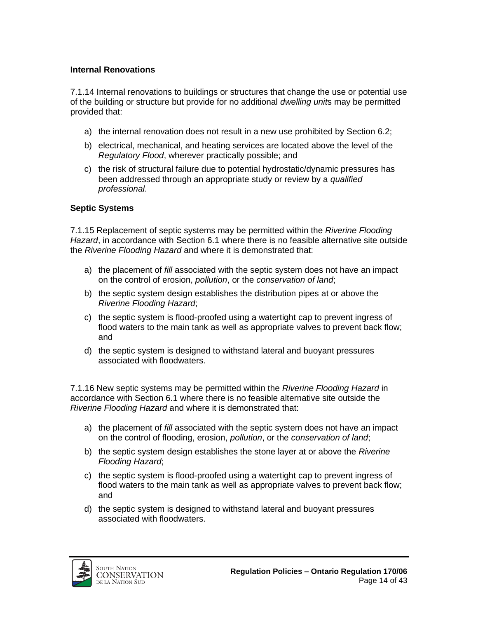#### **Internal Renovations**

7.1.14 Internal renovations to buildings or structures that change the use or potential use of the building or structure but provide for no additional *dwelling unit*s may be permitted provided that:

- a) the internal renovation does not result in a new use prohibited by Section 6.2;
- b) electrical, mechanical, and heating services are located above the level of the *Regulatory Flood*, wherever practically possible; and
- c) the risk of structural failure due to potential hydrostatic/dynamic pressures has been addressed through an appropriate study or review by a *qualified professional*.

#### **Septic Systems**

7.1.15 Replacement of septic systems may be permitted within the *Riverine Flooding Hazard*, in accordance with Section 6.1 where there is no feasible alternative site outside the *Riverine Flooding Hazard* and where it is demonstrated that:

- a) the placement of *fill* associated with the septic system does not have an impact on the control of erosion, *pollution*, or the *conservation of land*;
- b) the septic system design establishes the distribution pipes at or above the *Riverine Flooding Hazard*;
- c) the septic system is flood-proofed using a watertight cap to prevent ingress of flood waters to the main tank as well as appropriate valves to prevent back flow; and
- d) the septic system is designed to withstand lateral and buoyant pressures associated with floodwaters.

7.1.16 New septic systems may be permitted within the *Riverine Flooding Hazard* in accordance with Section 6.1 where there is no feasible alternative site outside the *Riverine Flooding Hazard* and where it is demonstrated that:

- a) the placement of *fill* associated with the septic system does not have an impact on the control of flooding, erosion, *pollution*, or the *conservation of land*;
- b) the septic system design establishes the stone layer at or above the *Riverine Flooding Hazard*;
- c) the septic system is flood-proofed using a watertight cap to prevent ingress of flood waters to the main tank as well as appropriate valves to prevent back flow; and
- d) the septic system is designed to withstand lateral and buoyant pressures associated with floodwaters.

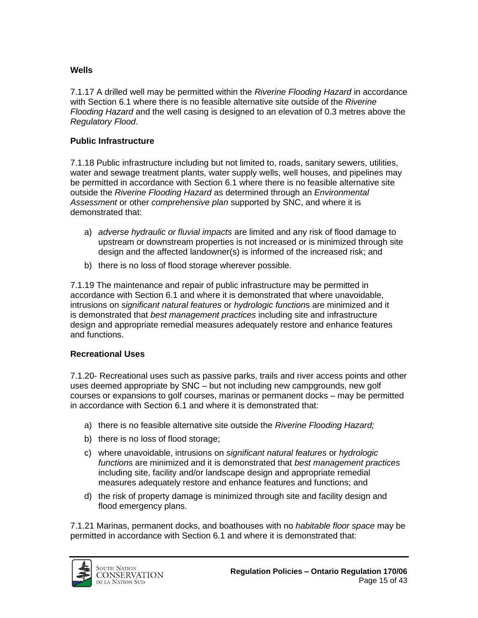#### **Wells**

7.1.17 A drilled well may be permitted within the *Riverine Flooding Hazard* in accordance with Section 6.1 where there is no feasible alternative site outside of the *Riverine Flooding Hazard* and the well casing is designed to an elevation of 0.3 metres above the *Regulatory Flood*.

#### **Public Infrastructure**

7.1.18 Public infrastructure including but not limited to, roads, sanitary sewers, utilities, water and sewage treatment plants, water supply wells, well houses, and pipelines may be permitted in accordance with Section 6.1 where there is no feasible alternative site outside the *Riverine Flooding Hazard* as determined through an *Environmental Assessment* or other *comprehensive plan* supported by SNC, and where it is demonstrated that:

- a) *adverse hydraulic or fluvial impacts* are limited and any risk of flood damage to upstream or downstream properties is not increased or is minimized through site design and the affected landowner(s) is informed of the increased risk; and
- b) there is no loss of flood storage wherever possible.

7.1.19 The maintenance and repair of public infrastructure may be permitted in accordance with Section 6.1 and where it is demonstrated that where unavoidable, intrusions on *significant natural features* or *hydrologic function*s are minimized and it is demonstrated that *best management practices* including site and infrastructure design and appropriate remedial measures adequately restore and enhance features and functions.

#### **Recreational Uses**

7.1.20- Recreational uses such as passive parks, trails and river access points and other uses deemed appropriate by SNC – but not including new campgrounds, new golf courses or expansions to golf courses, marinas or permanent docks – may be permitted in accordance with Section 6.1 and where it is demonstrated that:

- a) there is no feasible alternative site outside the *Riverine Flooding Hazard;*
- b) there is no loss of flood storage:
- c) where unavoidable, intrusions on *significant natural features* or *hydrologic function*s are minimized and it is demonstrated that *best management practices*  including site, facility and/or landscape design and appropriate remedial measures adequately restore and enhance features and functions; and
- d) the risk of property damage is minimized through site and facility design and flood emergency plans.

7.1.21 Marinas, permanent docks, and boathouses with no *habitable floor space* may be permitted in accordance with Section 6.1 and where it is demonstrated that:

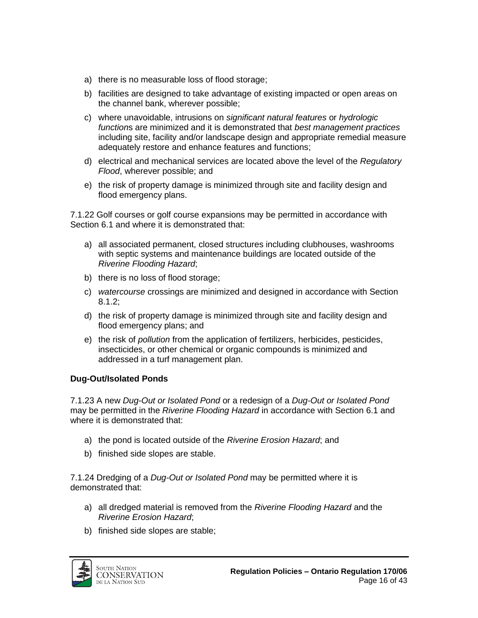- a) there is no measurable loss of flood storage;
- b) facilities are designed to take advantage of existing impacted or open areas on the channel bank, wherever possible;
- c) where unavoidable, intrusions on *significant natural features* or *hydrologic function*s are minimized and it is demonstrated that *best management practices*  including site, facility and/or landscape design and appropriate remedial measure adequately restore and enhance features and functions;
- d) electrical and mechanical services are located above the level of the *Regulatory Flood*, wherever possible; and
- e) the risk of property damage is minimized through site and facility design and flood emergency plans.

7.1.22 Golf courses or golf course expansions may be permitted in accordance with Section 6.1 and where it is demonstrated that:

- a) all associated permanent, closed structures including clubhouses, washrooms with septic systems and maintenance buildings are located outside of the *Riverine Flooding Hazard*;
- b) there is no loss of flood storage;
- c) *watercourse* crossings are minimized and designed in accordance with Section 8.1.2;
- d) the risk of property damage is minimized through site and facility design and flood emergency plans; and
- e) the risk of *pollution* from the application of fertilizers, herbicides, pesticides, insecticides, or other chemical or organic compounds is minimized and addressed in a turf management plan.

#### **Dug-Out/Isolated Ponds**

7.1.23 A new *Dug-Out or Isolated Pond* or a redesign of a *Dug-Out or Isolated Pond*  may be permitted in the *Riverine Flooding Hazard* in accordance with Section 6.1 and where it is demonstrated that:

- a) the pond is located outside of the *Riverine Erosion Hazard*; and
- b) finished side slopes are stable.

7.1.24 Dredging of a *Dug-Out or Isolated Pond* may be permitted where it is demonstrated that:

- a) all dredged material is removed from the *Riverine Flooding Hazard* and the *Riverine Erosion Hazard*;
- b) finished side slopes are stable;

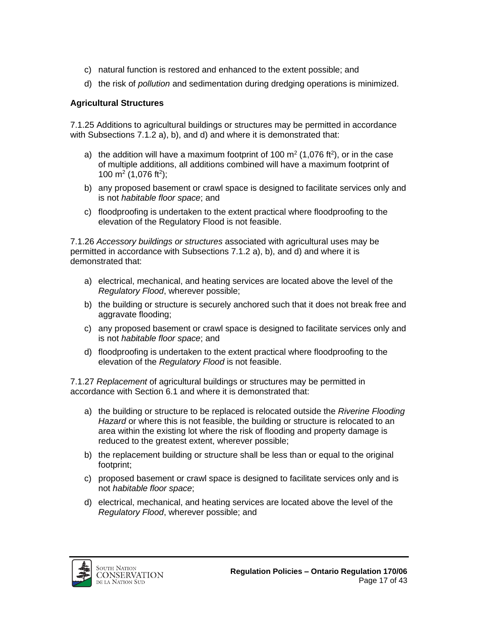- c) natural function is restored and enhanced to the extent possible; and
- d) the risk of *pollution* and sedimentation during dredging operations is minimized.

#### **Agricultural Structures**

7.1.25 Additions to agricultural buildings or structures may be permitted in accordance with Subsections 7.1.2 a), b), and d) and where it is demonstrated that:

- a) the addition will have a maximum footprint of 100  $m^2$  (1,076 ft<sup>2</sup>), or in the case of multiple additions, all additions combined will have a maximum footprint of 100 m<sup>2</sup> (1,076 ft<sup>2</sup>);
- b) any proposed basement or crawl space is designed to facilitate services only and is not *habitable floor space*; and
- c) floodproofing is undertaken to the extent practical where floodproofing to the elevation of the Regulatory Flood is not feasible.

7.1.26 *Accessory buildings or structures* associated with agricultural uses may be permitted in accordance with Subsections 7.1.2 a), b), and d) and where it is demonstrated that:

- a) electrical, mechanical, and heating services are located above the level of the *Regulatory Flood*, wherever possible;
- b) the building or structure is securely anchored such that it does not break free and aggravate flooding;
- c) any proposed basement or crawl space is designed to facilitate services only and is not *habitable floor space*; and
- d) floodproofing is undertaken to the extent practical where floodproofing to the elevation of the *Regulatory Flood* is not feasible.

7.1.27 *Replacement* of agricultural buildings or structures may be permitted in accordance with Section 6.1 and where it is demonstrated that:

- a) the building or structure to be replaced is relocated outside the *Riverine Flooding*  Hazard or where this is not feasible, the building or structure is relocated to an area within the existing lot where the risk of flooding and property damage is reduced to the greatest extent, wherever possible;
- b) the replacement building or structure shall be less than or equal to the original footprint;
- c) proposed basement or crawl space is designed to facilitate services only and is not *habitable floor space*;
- d) electrical, mechanical, and heating services are located above the level of the *Regulatory Flood*, wherever possible; and

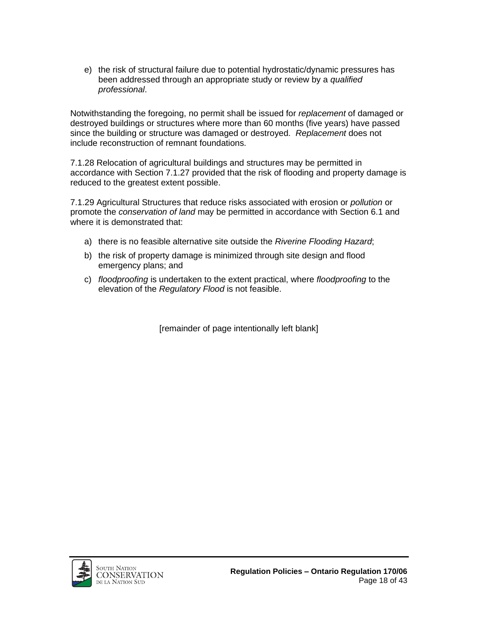e) the risk of structural failure due to potential hydrostatic/dynamic pressures has been addressed through an appropriate study or review by a *qualified professional*.

Notwithstanding the foregoing, no permit shall be issued for *replacement* of damaged or destroyed buildings or structures where more than 60 months (five years) have passed since the building or structure was damaged or destroyed. *Replacement* does not include reconstruction of remnant foundations.

7.1.28 Relocation of agricultural buildings and structures may be permitted in accordance with Section 7.1.27 provided that the risk of flooding and property damage is reduced to the greatest extent possible.

7.1.29 Agricultural Structures that reduce risks associated with erosion or *pollution* or promote the *conservation of land* may be permitted in accordance with Section 6.1 and where it is demonstrated that:

- a) there is no feasible alternative site outside the *Riverine Flooding Hazard*;
- b) the risk of property damage is minimized through site design and flood emergency plans; and
- c) *floodproofing* is undertaken to the extent practical, where *floodproofing* to the elevation of the *Regulatory Flood* is not feasible.

[remainder of page intentionally left blank]

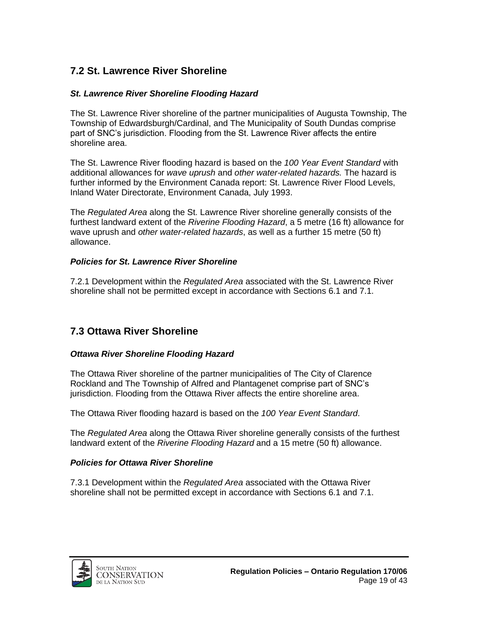### <span id="page-22-0"></span>**7.2 St. Lawrence River Shoreline**

#### *St. Lawrence River Shoreline Flooding Hazard*

The St. Lawrence River shoreline of the partner municipalities of Augusta Township, The Township of Edwardsburgh/Cardinal, and The Municipality of South Dundas comprise part of SNC's jurisdiction. Flooding from the St. Lawrence River affects the entire shoreline area.

The St. Lawrence River flooding hazard is based on the *100 Year Event Standard* with additional allowances for *wave uprush* and *other water-related hazards.* The hazard is further informed by the Environment Canada report: St. Lawrence River Flood Levels, Inland Water Directorate, Environment Canada, July 1993.

The *Regulated Area* along the St. Lawrence River shoreline generally consists of the furthest landward extent of the *Riverine Flooding Hazard*, a 5 metre (16 ft) allowance for wave uprush and *other water-related hazards*, as well as a further 15 metre (50 ft) allowance.

#### *Policies for St. Lawrence River Shoreline*

7.2.1 Development within the *Regulated Area* associated with the St. Lawrence River shoreline shall not be permitted except in accordance with Sections 6.1 and 7.1.

## <span id="page-22-1"></span>**7.3 Ottawa River Shoreline**

#### *Ottawa River Shoreline Flooding Hazard*

The Ottawa River shoreline of the partner municipalities of The City of Clarence Rockland and The Township of Alfred and Plantagenet comprise part of SNC's jurisdiction. Flooding from the Ottawa River affects the entire shoreline area.

The Ottawa River flooding hazard is based on the *100 Year Event Standard*.

The *Regulated Area* along the Ottawa River shoreline generally consists of the furthest landward extent of the *Riverine Flooding Hazard* and a 15 metre (50 ft) allowance.

#### *Policies for Ottawa River Shoreline*

7.3.1 Development within the *Regulated Area* associated with the Ottawa River shoreline shall not be permitted except in accordance with Sections 6.1 and 7.1.

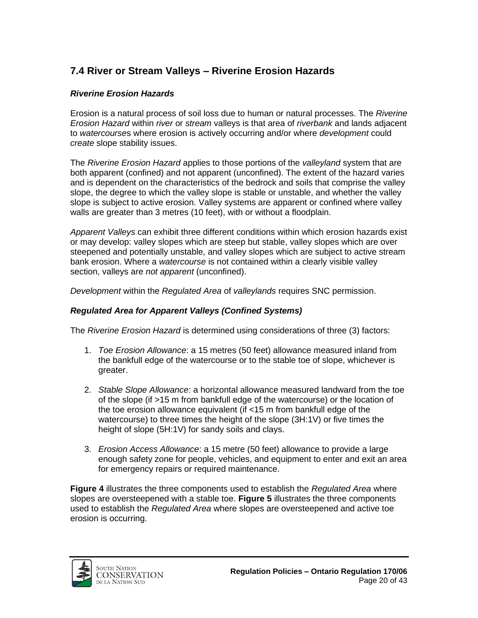## <span id="page-23-0"></span>**7.4 River or Stream Valleys – Riverine Erosion Hazards**

#### *Riverine Erosion Hazards*

Erosion is a natural process of soil loss due to human or natural processes. The *Riverine Erosion Hazard* within *river* or *stream* valleys is that area of *riverbank* and lands adjacent to *watercourse*s where erosion is actively occurring and/or where *development* could *create* slope stability issues.

The *Riverine Erosion Hazard* applies to those portions of the *valleyland* system that are both apparent (confined) and not apparent (unconfined). The extent of the hazard varies and is dependent on the characteristics of the bedrock and soils that comprise the valley slope, the degree to which the valley slope is stable or unstable, and whether the valley slope is subject to active erosion. Valley systems are apparent or confined where valley walls are greater than 3 metres (10 feet), with or without a floodplain.

*Apparent Valleys* can exhibit three different conditions within which erosion hazards exist or may develop: valley slopes which are steep but stable, valley slopes which are over steepened and potentially unstable, and valley slopes which are subject to active stream bank erosion. Where a *watercourse* is not contained within a clearly visible valley section, valleys are *not apparent* (unconfined).

*Development* within the *Regulated Area* of *valleylands* requires SNC permission.

#### *Regulated Area for Apparent Valleys (Confined Systems)*

The *Riverine Erosion Hazard* is determined using considerations of three (3) factors:

- 1. *Toe Erosion Allowance*: a 15 metres (50 feet) allowance measured inland from the bankfull edge of the watercourse or to the stable toe of slope, whichever is greater.
- 2. *Stable Slope Allowance*: a horizontal allowance measured landward from the toe of the slope (if >15 m from bankfull edge of the watercourse) or the location of the toe erosion allowance equivalent (if <15 m from bankfull edge of the watercourse) to three times the height of the slope (3H:1V) or five times the height of slope (5H:1V) for sandy soils and clays.
- 3. *Erosion Access Allowance*: a 15 metre (50 feet) allowance to provide a large enough safety zone for people, vehicles, and equipment to enter and exit an area for emergency repairs or required maintenance.

**Figure 4** illustrates the three components used to establish the *Regulated Area* where slopes are oversteepened with a stable toe. **Figure 5** illustrates the three components used to establish the *Regulated Area* where slopes are oversteepened and active toe erosion is occurring.

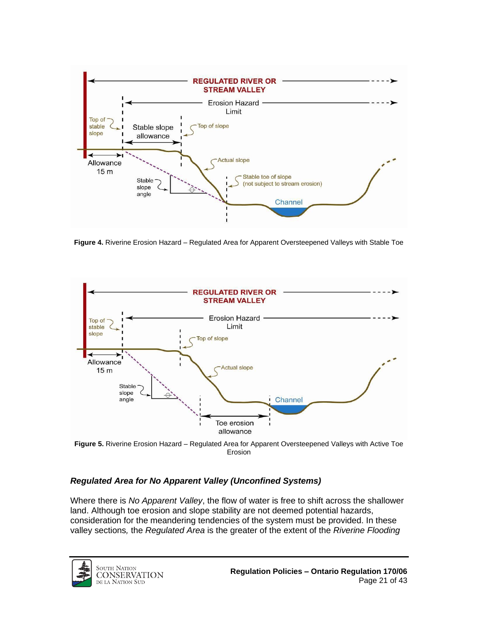

**Figure 4.** Riverine Erosion Hazard – Regulated Area for Apparent Oversteepened Valleys with Stable Toe



**Figure 5.** Riverine Erosion Hazard – Regulated Area for Apparent Oversteepened Valleys with Active Toe Erosion

#### *Regulated Area for No Apparent Valley (Unconfined Systems)*

Where there is *No Apparent Valley*, the flow of water is free to shift across the shallower land. Although toe erosion and slope stability are not deemed potential hazards, consideration for the meandering tendencies of the system must be provided. In these valley sections*,* the *Regulated Area* is the greater of the extent of the *Riverine Flooding* 

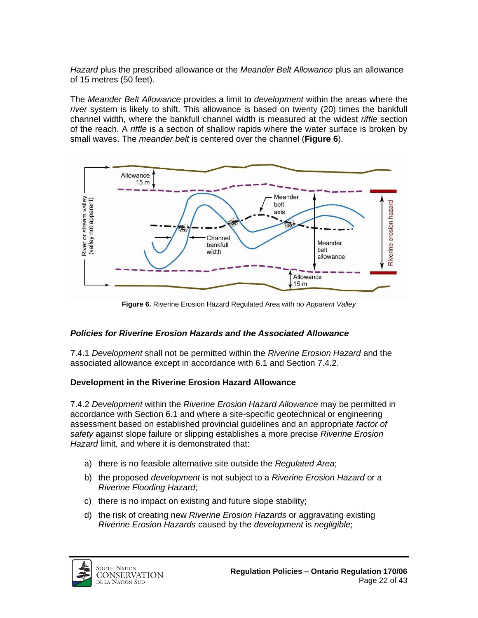*Hazard* plus the prescribed allowance or the *Meander Belt Allowance* plus an allowance of 15 metres (50 feet).

The *Meander Belt Allowance* provides a limit to *development* within the areas where the *river* system is likely to shift. This allowance is based on twenty (20) times the bankfull channel width, where the bankfull channel width is measured at the widest *riffle* section of the reach. A *riffle* is a section of shallow rapids where the water surface is broken by small waves. The *meander belt* is centered over the channel (**Figure 6**).



**Figure 6.** Riverine Erosion Hazard Regulated Area with no *Apparent Valley*

#### *Policies for Riverine Erosion Hazards and the Associated Allowance*

7.4.1 *Development* shall not be permitted within the *Riverine Erosion Hazard* and the associated allowance except in accordance with 6.1 and Section 7.4.2.

#### **Development in the Riverine Erosion Hazard Allowance**

7.4.2 *Development* within the *Riverine Erosion Hazard Allowance* may be permitted in accordance with Section 6.1 and where a site-specific geotechnical or engineering assessment based on established provincial guidelines and an appropriate *factor of safety* against slope failure or slipping establishes a more precise *Riverine Erosion Hazard limit, and where it is demonstrated that:* 

- a) there is no feasible alternative site outside the *Regulated Area*;
- b) the proposed *development* is not subject to a *Riverine Erosion Hazard* or a *Riverine Flooding Hazard*;
- c) there is no impact on existing and future slope stability;
- d) the risk of creating new *Riverine Erosion Hazards* or aggravating existing *Riverine Erosion Hazards* caused by the *development* is *negligible*;

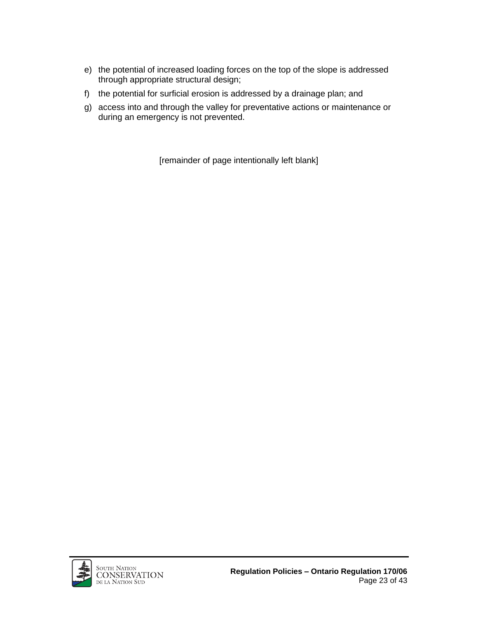- e) the potential of increased loading forces on the top of the slope is addressed through appropriate structural design;
- f) the potential for surficial erosion is addressed by a drainage plan; and
- g) access into and through the valley for preventative actions or maintenance or during an emergency is not prevented.

[remainder of page intentionally left blank]

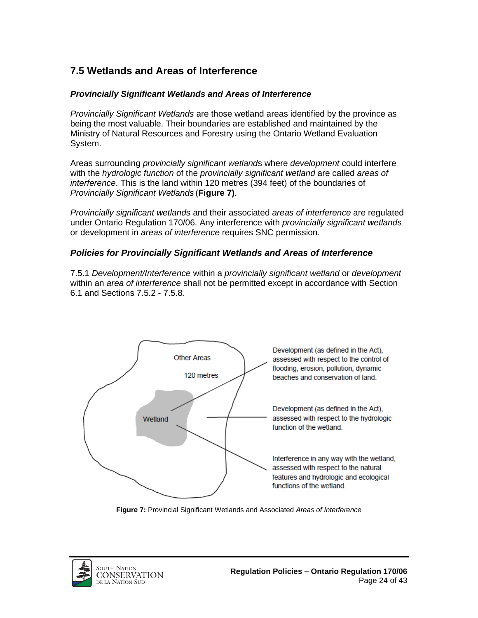### <span id="page-27-0"></span>**7.5 Wetlands and Areas of Interference**

#### *Provincially Significant Wetlands and Areas of Interference*

*Provincially Significant Wetlands* are those wetland areas identified by the province as being the most valuable. Their boundaries are established and maintained by the Ministry of Natural Resources and Forestry using the Ontario Wetland Evaluation System.

Areas surrounding *provincially significant wetland*s where *development* could interfere with the *hydrologic function* of the *provincially significant wetland* are called *areas of interference*. This is the land within 120 metres (394 feet) of the boundaries of *Provincially Significant Wetlands* (**Figure 7)**.

*Provincially significant wetland*s and their associated *areas of interference* are regulated under Ontario Regulation 170/06. Any interference with *provincially significant wetland*s or development in *areas of interference* requires SNC permission.

#### *Policies for Provincially Significant Wetlands and Areas of Interference*

7.5.1 *Development/Interference* within a *provincially significant wetland* or *development*  within an *area of interference* shall not be permitted except in accordance with Section 6.1 and Sections 7.5.2 - 7.5.8*.* 





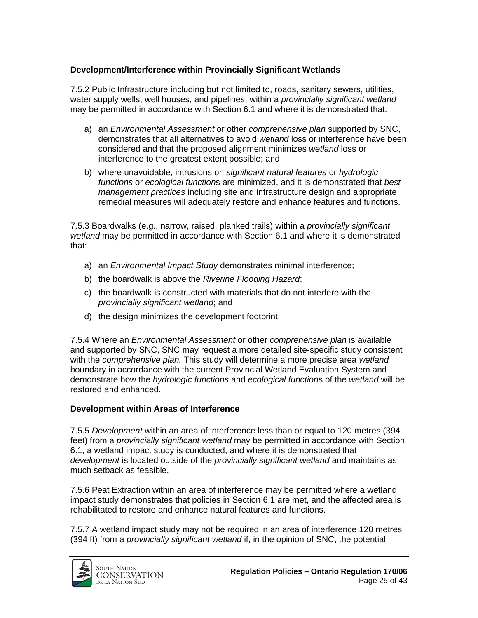#### **Development/Interference within Provincially Significant Wetlands**

7.5.2 Public Infrastructure including but not limited to, roads, sanitary sewers, utilities, water supply wells, well houses, and pipelines, within a *provincially significant wetland* may be permitted in accordance with Section 6.1 and where it is demonstrated that:

- a) an *Environmental Assessment* or other *comprehensive plan* supported by SNC, demonstrates that all alternatives to avoid *wetland* loss or interference have been considered and that the proposed alignment minimizes *wetland* loss or interference to the greatest extent possible; and
- b) where unavoidable, intrusions on *significant natural features* or *hydrologic functions* or *ecological function*s are minimized, and it is demonstrated that *best management practices* including site and infrastructure design and appropriate remedial measures will adequately restore and enhance features and functions.

7.5.3 Boardwalks (e.g., narrow, raised, planked trails) within a *provincially significant wetland* may be permitted in accordance with Section 6.1 and where it is demonstrated that:

- a) an *Environmental Impact Study* demonstrates minimal interference;
- b) the boardwalk is above the *Riverine Flooding Hazard*;
- c) the boardwalk is constructed with materials that do not interfere with the *provincially significant wetland*; and
- d) the design minimizes the development footprint.

7.5.4 Where an *Environmental Assessment* or other *comprehensive plan* is available and supported by SNC, SNC may request a more detailed site-specific study consistent with the *comprehensive plan.* This study will determine a more precise area *wetland*  boundary in accordance with the current Provincial Wetland Evaluation System and demonstrate how the *hydrologic functions* and *ecological function*s of the *wetland* will be restored and enhanced.

#### **Development within Areas of Interference**

7.5.5 *Development* within an area of interference less than or equal to 120 metres (394 feet) from a *provincially significant wetland* may be permitted in accordance with Section 6.1, a wetland impact study is conducted, and where it is demonstrated that *development* is located outside of the *provincially significant wetland* and maintains as much setback as feasible.

7.5.6 Peat Extraction within an area of interference may be permitted where a wetland impact study demonstrates that policies in Section 6.1 are met, and the affected area is rehabilitated to restore and enhance natural features and functions.

7.5.7 A wetland impact study may not be required in an area of interference 120 metres (394 ft) from a *provincially significant wetland* if, in the opinion of SNC, the potential

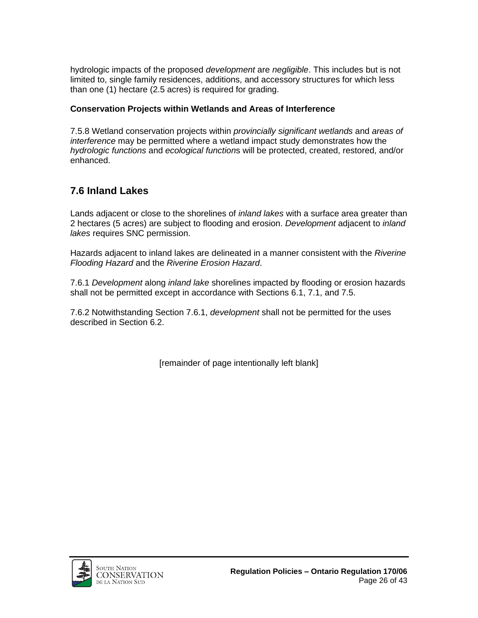hydrologic impacts of the proposed *development* are *negligible*. This includes but is not limited to, single family residences, additions, and accessory structures for which less than one (1) hectare (2.5 acres) is required for grading.

#### **Conservation Projects within Wetlands and Areas of Interference**

7.5.8 Wetland conservation projects within *provincially significant wetlands* and *areas of interference* may be permitted where a wetland impact study demonstrates how the *hydrologic functions* and *ecological function*s will be protected, created, restored, and/or enhanced.

### <span id="page-29-0"></span>**7.6 Inland Lakes**

Lands adjacent or close to the shorelines of *inland lakes* with a surface area greater than 2 hectares (5 acres) are subject to flooding and erosion. *Development* adjacent to *inland lakes* requires SNC permission.

Hazards adjacent to inland lakes are delineated in a manner consistent with the *Riverine Flooding Hazard* and the *Riverine Erosion Hazard*.

7.6.1 *Development* along *inland lake* shorelines impacted by flooding or erosion hazards shall not be permitted except in accordance with Sections 6.1, 7.1, and 7.5.

7.6.2 Notwithstanding Section 7.6.1, *development* shall not be permitted for the uses described in Section 6.2.

[remainder of page intentionally left blank]

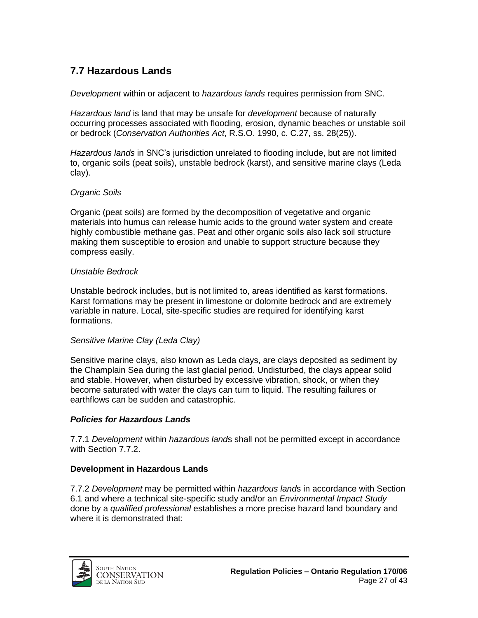## <span id="page-30-0"></span>**7.7 Hazardous Lands**

*Development* within or adjacent to *hazardous lands* requires permission from SNC.

*Hazardous land* is land that may be unsafe for *development* because of naturally occurring processes associated with flooding, erosion, dynamic beaches or unstable soil or bedrock (*Conservation Authorities Act*, R.S.O. 1990, c. C.27, ss. 28(25)).

*Hazardous lands* in SNC's jurisdiction unrelated to flooding include, but are not limited to, organic soils (peat soils), unstable bedrock (karst), and sensitive marine clays (Leda clay).

#### *Organic Soils*

Organic (peat soils) are formed by the decomposition of vegetative and organic materials into humus can release humic acids to the ground water system and create highly combustible methane gas. Peat and other organic soils also lack soil structure making them susceptible to erosion and unable to support structure because they compress easily.

#### *Unstable Bedrock*

Unstable bedrock includes, but is not limited to, areas identified as karst formations. Karst formations may be present in limestone or dolomite bedrock and are extremely variable in nature. Local, site-specific studies are required for identifying karst formations.

#### *Sensitive Marine Clay (Leda Clay)*

Sensitive marine clays, also known as Leda clays, are clays deposited as sediment by the Champlain Sea during the last glacial period. Undisturbed, the clays appear solid and stable. However, when disturbed by excessive vibration, shock, or when they become saturated with water the clays can turn to liquid. The resulting failures or earthflows can be sudden and catastrophic.

#### *Policies for Hazardous Lands*

7.7.1 *Development* within *hazardous land*s shall not be permitted except in accordance with Section 7.7.2.

#### **Development in Hazardous Lands**

7.7.2 *Development* may be permitted within *hazardous land*s in accordance with Section 6.1 and where a technical site-specific study and/or an *Environmental Impact Study*  done by a *qualified professional* establishes a more precise hazard land boundary and where it is demonstrated that:

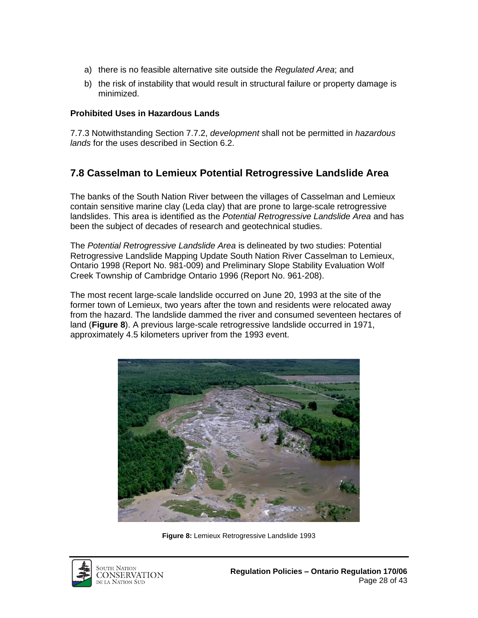- a) there is no feasible alternative site outside the *Regulated Area*; and
- b) the risk of instability that would result in structural failure or property damage is minimized.

#### **Prohibited Uses in Hazardous Lands**

7.7.3 Notwithstanding Section 7.7.2, *development* shall not be permitted in *hazardous lands* for the uses described in Section 6.2.

### <span id="page-31-0"></span>**7.8 Casselman to Lemieux Potential Retrogressive Landslide Area**

The banks of the South Nation River between the villages of Casselman and Lemieux contain sensitive marine clay (Leda clay) that are prone to large-scale retrogressive landslides. This area is identified as the *Potential Retrogressive Landslide Area* and has been the subject of decades of research and geotechnical studies.

The *Potential Retrogressive Landslide Area* is delineated by two studies: Potential Retrogressive Landslide Mapping Update South Nation River Casselman to Lemieux, Ontario 1998 (Report No. 981-009) and Preliminary Slope Stability Evaluation Wolf Creek Township of Cambridge Ontario 1996 (Report No. 961-208).

The most recent large-scale landslide occurred on June 20, 1993 at the site of the former town of Lemieux, two years after the town and residents were relocated away from the hazard. The landslide dammed the river and consumed seventeen hectares of land (**Figure 8**). A previous large-scale retrogressive landslide occurred in 1971, approximately 4.5 kilometers upriver from the 1993 event.



**Figure 8:** Lemieux Retrogressive Landslide 1993

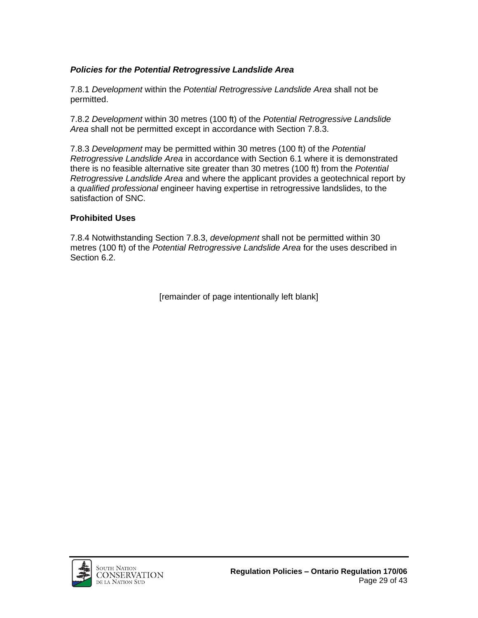#### *Policies for the Potential Retrogressive Landslide Area*

7.8.1 *Development* within the *Potential Retrogressive Landslide Area* shall not be permitted.

7.8.2 *Development* within 30 metres (100 ft) of the *Potential Retrogressive Landslide Area* shall not be permitted except in accordance with Section 7.8.3.

7.8.3 *Development* may be permitted within 30 metres (100 ft) of the *Potential Retrogressive Landslide Area* in accordance with Section 6.1 where it is demonstrated there is no feasible alternative site greater than 30 metres (100 ft) from the *Potential Retrogressive Landslide Area* and where the applicant provides a geotechnical report by a *qualified professional* engineer having expertise in retrogressive landslides, to the satisfaction of SNC.

#### **Prohibited Uses**

7.8.4 Notwithstanding Section 7.8.3, *development* shall not be permitted within 30 metres (100 ft) of the *Potential Retrogressive Landslide Area* for the uses described in Section 6.2.

[remainder of page intentionally left blank]

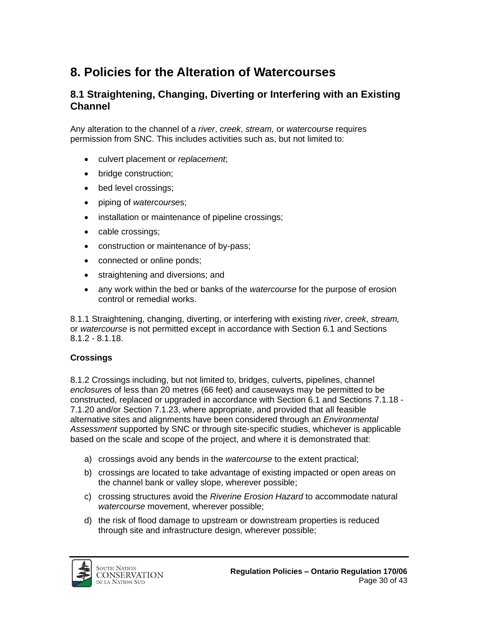## <span id="page-33-0"></span>**8. Policies for the Alteration of Watercourses**

### <span id="page-33-1"></span>**8.1 Straightening, Changing, Diverting or Interfering with an Existing Channel**

Any alteration to the channel of a *river*, *creek*, *stream,* or *watercourse* requires permission from SNC. This includes activities such as, but not limited to:

- culvert placement or *replacement*;
- bridge construction;
- bed level crossings;
- piping of *watercourse*s;
- installation or maintenance of pipeline crossings;
- cable crossings;
- construction or maintenance of by-pass;
- connected or online ponds;
- straightening and diversions; and
- any work within the bed or banks of the *watercourse* for the purpose of erosion control or remedial works.

8.1.1 Straightening, changing, diverting, or interfering with existing *river*, *creek*, *stream,* or *watercourse* is not permitted except in accordance with Section 6.1 and Sections 8.1.2 - 8.1.18.

### **Crossings**

8.1.2 Crossings including, but not limited to, bridges, culverts, pipelines, channel *enclosure*s of less than 20 metres (66 feet) and causeways may be permitted to be constructed, replaced or upgraded in accordance with Section 6.1 and Sections 7.1.18 - 7.1.20 and/or Section 7.1.23, where appropriate, and provided that all feasible alternative sites and alignments have been considered through an *Environmental Assessment* supported by SNC or through site-specific studies, whichever is applicable based on the scale and scope of the project, and where it is demonstrated that:

- a) crossings avoid any bends in the *watercourse* to the extent practical;
- b) crossings are located to take advantage of existing impacted or open areas on the channel bank or valley slope, wherever possible;
- c) crossing structures avoid the *Riverine Erosion Hazard* to accommodate natural *watercourse* movement, wherever possible;
- d) the risk of flood damage to upstream or downstream properties is reduced through site and infrastructure design, wherever possible;

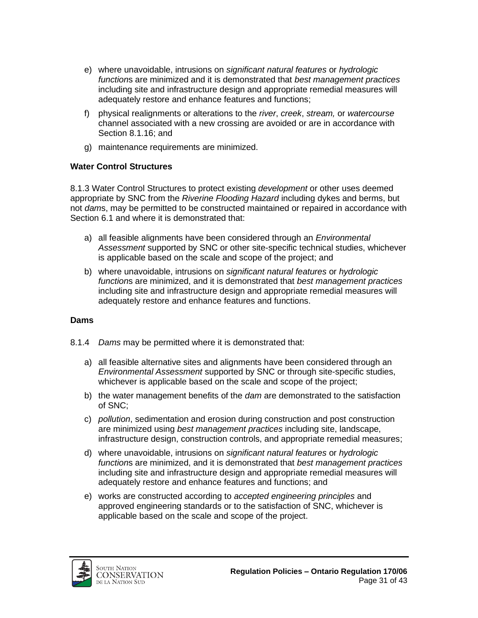- e) where unavoidable, intrusions on *significant natural features* or *hydrologic function*s are minimized and it is demonstrated that *best management practices*  including site and infrastructure design and appropriate remedial measures will adequately restore and enhance features and functions;
- f) physical realignments or alterations to the *river*, *creek*, *stream,* or *watercourse*  channel associated with a new crossing are avoided or are in accordance with Section 8.1.16; and
- g) maintenance requirements are minimized.

#### **Water Control Structures**

8.1.3 Water Control Structures to protect existing *development* or other uses deemed appropriate by SNC from the *Riverine Flooding Hazard* including dykes and berms, but not *dam*s, may be permitted to be constructed maintained or repaired in accordance with Section 6.1 and where it is demonstrated that:

- a) all feasible alignments have been considered through an *Environmental Assessment* supported by SNC or other site-specific technical studies, whichever is applicable based on the scale and scope of the project; and
- b) where unavoidable, intrusions on *significant natural features* or *hydrologic function*s are minimized, and it is demonstrated that *best management practices*  including site and infrastructure design and appropriate remedial measures will adequately restore and enhance features and functions.

#### **Dams**

- 8.1.4 *Dams* may be permitted where it is demonstrated that:
	- a) all feasible alternative sites and alignments have been considered through an *Environmental Assessment* supported by SNC or through site-specific studies, whichever is applicable based on the scale and scope of the project;
	- b) the water management benefits of the *dam* are demonstrated to the satisfaction of SNC;
	- c) *pollution*, sedimentation and erosion during construction and post construction are minimized using *best management practices* including site, landscape, infrastructure design, construction controls, and appropriate remedial measures;
	- d) where unavoidable, intrusions on *significant natural features* or *hydrologic function*s are minimized, and it is demonstrated that *best management practices*  including site and infrastructure design and appropriate remedial measures will adequately restore and enhance features and functions; and
	- e) works are constructed according to *accepted engineering principles* and approved engineering standards or to the satisfaction of SNC, whichever is applicable based on the scale and scope of the project.

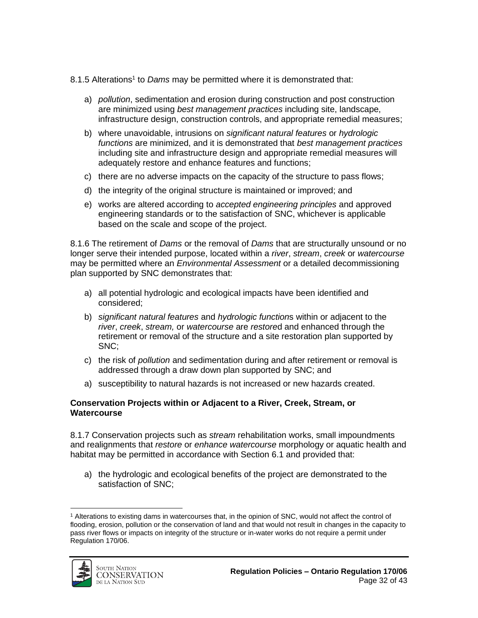8.1.5 Alterations<sup>1</sup> to *Dams* may be permitted where it is demonstrated that:

- a) *pollution*, sedimentation and erosion during construction and post construction are minimized using *best management practices* including site, landscape, infrastructure design, construction controls, and appropriate remedial measures;
- b) where unavoidable, intrusions on *significant natural features* or *hydrologic functions* are minimized, and it is demonstrated that *best management practices* including site and infrastructure design and appropriate remedial measures will adequately restore and enhance features and functions;
- c) there are no adverse impacts on the capacity of the structure to pass flows;
- d) the integrity of the original structure is maintained or improved; and
- e) works are altered according to *accepted engineering principles* and approved engineering standards or to the satisfaction of SNC, whichever is applicable based on the scale and scope of the project.

8.1.6 The retirement of *Dams* or the removal of *Dams* that are structurally unsound or no longer serve their intended purpose, located within a *river*, *stream*, *creek* or *watercourse*  may be permitted where an *Environmental Assessment* or a detailed decommissioning plan supported by SNC demonstrates that:

- a) all potential hydrologic and ecological impacts have been identified and considered;
- b) *significant natural features* and *hydrologic function*s within or adjacent to the *river*, *creek*, *stream,* or *watercourse* are *restore*d and enhanced through the retirement or removal of the structure and a site restoration plan supported by SNC;
- c) the risk of *pollution* and sedimentation during and after retirement or removal is addressed through a draw down plan supported by SNC; and
- a) susceptibility to natural hazards is not increased or new hazards created.

#### **Conservation Projects within or Adjacent to a River, Creek, Stream, or Watercourse**

8.1.7 Conservation projects such as *stream* rehabilitation works, small impoundments and realignments that *restore* or *enhance watercourse* morphology or aquatic health and habitat may be permitted in accordance with Section 6.1 and provided that:

a) the hydrologic and ecological benefits of the project are demonstrated to the satisfaction of SNC;

<sup>1</sup> Alterations to existing dams in watercourses that, in the opinion of SNC, would not affect the control of flooding, erosion, pollution or the conservation of land and that would not result in changes in the capacity to pass river flows or impacts on integrity of the structure or in-water works do not require a permit under Regulation 170/06.

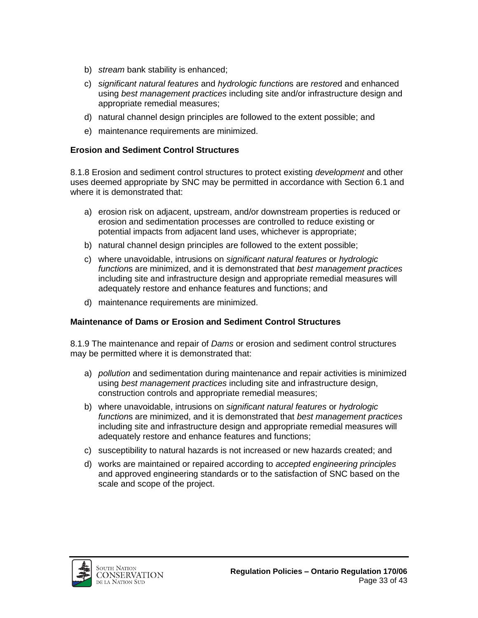- b) *stream* bank stability is enhanced;
- c) *significant natural features* and *hydrologic function*s are *restore*d and enhanced using *best management practices* including site and/or infrastructure design and appropriate remedial measures;
- d) natural channel design principles are followed to the extent possible; and
- e) maintenance requirements are minimized.

#### **Erosion and Sediment Control Structures**

8.1.8 Erosion and sediment control structures to protect existing *development* and other uses deemed appropriate by SNC may be permitted in accordance with Section 6.1 and where it is demonstrated that:

- a) erosion risk on adjacent, upstream, and/or downstream properties is reduced or erosion and sedimentation processes are controlled to reduce existing or potential impacts from adjacent land uses, whichever is appropriate;
- b) natural channel design principles are followed to the extent possible;
- c) where unavoidable, intrusions on *significant natural features* or *hydrologic function*s are minimized, and it is demonstrated that *best management practices*  including site and infrastructure design and appropriate remedial measures will adequately restore and enhance features and functions; and
- d) maintenance requirements are minimized.

#### **Maintenance of Dams or Erosion and Sediment Control Structures**

8.1.9 The maintenance and repair of *Dams* or erosion and sediment control structures may be permitted where it is demonstrated that:

- a) *pollution* and sedimentation during maintenance and repair activities is minimized using *best management practices* including site and infrastructure design, construction controls and appropriate remedial measures;
- b) where unavoidable, intrusions on *significant natural features* or *hydrologic function*s are minimized, and it is demonstrated that *best management practices* including site and infrastructure design and appropriate remedial measures will adequately restore and enhance features and functions;
- c) susceptibility to natural hazards is not increased or new hazards created; and
- d) works are maintained or repaired according to *accepted engineering principles*  and approved engineering standards or to the satisfaction of SNC based on the scale and scope of the project.

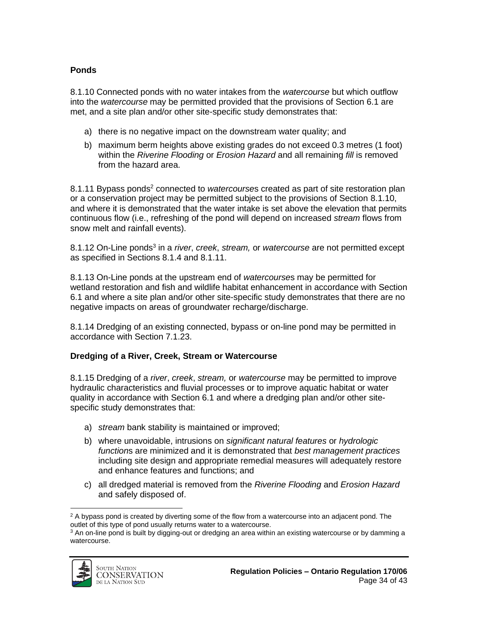#### **Ponds**

8.1.10 Connected ponds with no water intakes from the *watercourse* but which outflow into the *watercourse* may be permitted provided that the provisions of Section 6.1 are met, and a site plan and/or other site-specific study demonstrates that:

- a) there is no negative impact on the downstream water quality; and
- b) maximum berm heights above existing grades do not exceed 0.3 metres (1 foot) within the *Riverine Flooding* or *Erosion Hazard* and all remaining *fill* is removed from the hazard area.

8.1.11 Bypass ponds<sup>2</sup> connected to *watercourse*s created as part of site restoration plan or a conservation project may be permitted subject to the provisions of Section 8.1.10, and where it is demonstrated that the water intake is set above the elevation that permits continuous flow (i.e., refreshing of the pond will depend on increased *stream* flows from snow melt and rainfall events).

8.1.12 On-Line ponds<sup>3</sup> in a *river*, *creek*, *stream,* or *watercourse* are not permitted except as specified in Sections 8.1.4 and 8.1.11.

8.1.13 On-Line ponds at the upstream end of *watercourse*s may be permitted for wetland restoration and fish and wildlife habitat enhancement in accordance with Section 6.1 and where a site plan and/or other site-specific study demonstrates that there are no negative impacts on areas of groundwater recharge/discharge.

8.1.14 Dredging of an existing connected, bypass or on-line pond may be permitted in accordance with Section 7.1.23.

#### **Dredging of a River, Creek, Stream or Watercourse**

8.1.15 Dredging of a *river*, *creek*, *stream,* or *watercourse* may be permitted to improve hydraulic characteristics and fluvial processes or to improve aquatic habitat or water quality in accordance with Section 6.1 and where a dredging plan and/or other sitespecific study demonstrates that:

- a) *stream* bank stability is maintained or improved;
- b) where unavoidable, intrusions on *significant natural features* or *hydrologic function*s are minimized and it is demonstrated that *best management practices* including site design and appropriate remedial measures will adequately restore and enhance features and functions; and
- c) all dredged material is removed from the *Riverine Flooding* and *Erosion Hazard*  and safely disposed of.

<sup>&</sup>lt;sup>3</sup> An on-line pond is built by digging-out or dredging an area within an existing watercourse or by damming a watercourse.



 $2$  A bypass pond is created by diverting some of the flow from a watercourse into an adjacent pond. The outlet of this type of pond usually returns water to a watercourse.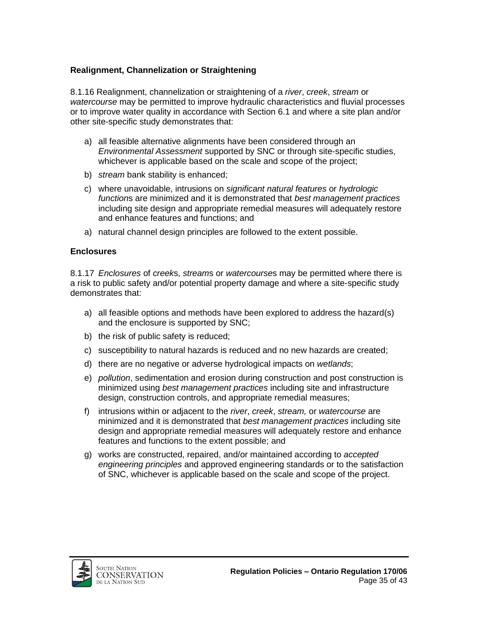#### **Realignment, Channelization or Straightening**

8.1.16 Realignment, channelization or straightening of a *river*, *creek*, *stream* or *watercourse* may be permitted to improve hydraulic characteristics and fluvial processes or to improve water quality in accordance with Section 6.1 and where a site plan and/or other site-specific study demonstrates that:

- a) all feasible alternative alignments have been considered through an *Environmental Assessment* supported by SNC or through site-specific studies, whichever is applicable based on the scale and scope of the project;
- b) *stream* bank stability is enhanced;
- c) where unavoidable, intrusions on *significant natural features* or *hydrologic function*s are minimized and it is demonstrated that *best management practices* including site design and appropriate remedial measures will adequately restore and enhance features and functions; and
- a) natural channel design principles are followed to the extent possible.

#### **Enclosures**

8.1.17 *Enclosures* of *creek*s, *stream*s or *watercourse*s may be permitted where there is a risk to public safety and/or potential property damage and where a site-specific study demonstrates that:

- a) all feasible options and methods have been explored to address the hazard(s) and the enclosure is supported by SNC;
- b) the risk of public safety is reduced;
- c) susceptibility to natural hazards is reduced and no new hazards are created;
- d) there are no negative or adverse hydrological impacts on *wetlands*;
- e) *pollution*, sedimentation and erosion during construction and post construction is minimized using *best management practices* including site and infrastructure design, construction controls, and appropriate remedial measures;
- f) intrusions within or adjacent to the *river*, *creek*, *stream,* or *watercourse* are minimized and it is demonstrated that *best management practices* including site design and appropriate remedial measures will adequately restore and enhance features and functions to the extent possible; and
- g) works are constructed, repaired, and/or maintained according to *accepted engineering principles* and approved engineering standards or to the satisfaction of SNC, whichever is applicable based on the scale and scope of the project.

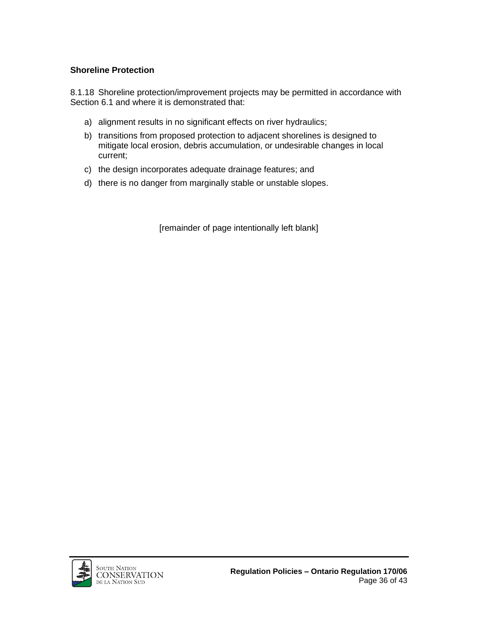#### **Shoreline Protection**

8.1.18 Shoreline protection/improvement projects may be permitted in accordance with Section 6.1 and where it is demonstrated that:

- a) alignment results in no significant effects on river hydraulics;
- b) transitions from proposed protection to adjacent shorelines is designed to mitigate local erosion, debris accumulation, or undesirable changes in local current;
- c) the design incorporates adequate drainage features; and
- d) there is no danger from marginally stable or unstable slopes.

[remainder of page intentionally left blank]

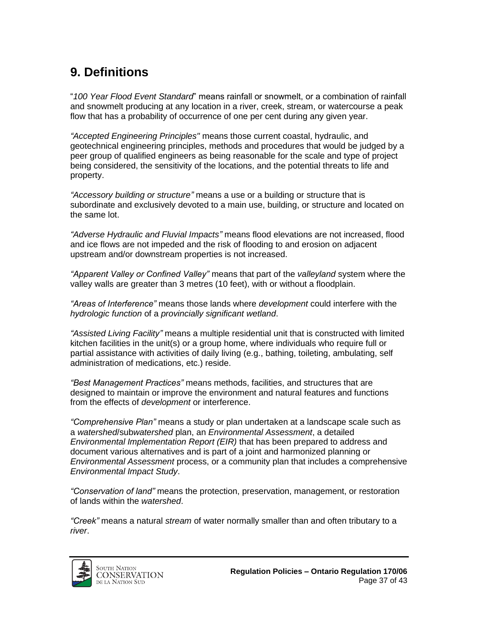## <span id="page-40-0"></span>**9. Definitions**

"*100 Year Flood Event Standard*" means rainfall or snowmelt, or a combination of rainfall and snowmelt producing at any location in a river, creek, stream, or watercourse a peak flow that has a probability of occurrence of one per cent during any given year.

*"Accepted Engineering Principles"* means those current coastal, hydraulic, and geotechnical engineering principles, methods and procedures that would be judged by a peer group of qualified engineers as being reasonable for the scale and type of project being considered, the sensitivity of the locations, and the potential threats to life and property.

*"Accessory building or structure"* means a use or a building or structure that is subordinate and exclusively devoted to a main use, building, or structure and located on the same lot.

*"Adverse Hydraulic and Fluvial Impacts"* means flood elevations are not increased, flood and ice flows are not impeded and the risk of flooding to and erosion on adjacent upstream and/or downstream properties is not increased.

*"Apparent Valley or Confined Valley"* means that part of the *valleyland* system where the valley walls are greater than 3 metres (10 feet), with or without a floodplain.

*"Areas of Interference"* means those lands where *development* could interfere with the *hydrologic function* of a *provincially significant wetland*.

*"Assisted Living Facility"* means a multiple residential unit that is constructed with limited kitchen facilities in the unit(s) or a group home, where individuals who require full or partial assistance with activities of daily living (e.g., bathing, toileting, ambulating, self administration of medications, etc.) reside.

*"Best Management Practices"* means methods, facilities, and structures that are designed to maintain or improve the environment and natural features and functions from the effects of *development* or interference.

*"Comprehensive Plan"* means a study or plan undertaken at a landscape scale such as a *watershed*/sub*watershed* plan, an *Environmental Assessment*, a detailed *Environmental Implementation Report (EIR)* that has been prepared to address and document various alternatives and is part of a joint and harmonized planning or *Environmental Assessment* process, or a community plan that includes a comprehensive *Environmental Impact Study*.

*"Conservation of land"* means the protection, preservation, management, or restoration of lands within the *watershed*.

*"Creek"* means a natural *stream* of water normally smaller than and often tributary to a *river*.

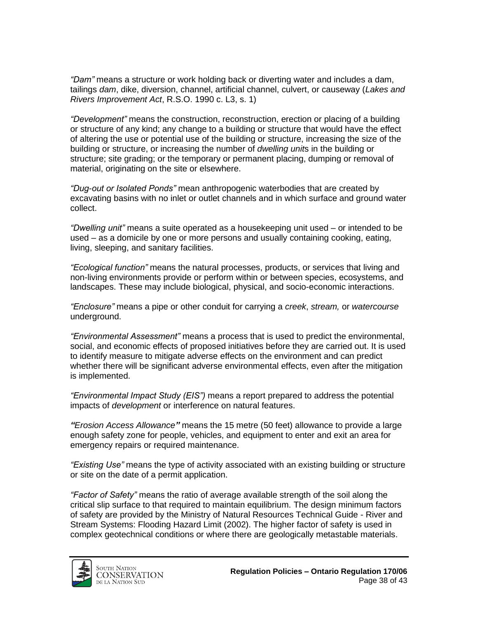*"Dam"* means a structure or work holding back or diverting water and includes a dam, tailings *dam*, dike, diversion, channel, artificial channel, culvert, or causeway (*Lakes and Rivers Improvement Act*, R.S.O. 1990 c. L3, s. 1)

*"Development"* means the construction, reconstruction, erection or placing of a building or structure of any kind; any change to a building or structure that would have the effect of altering the use or potential use of the building or structure, increasing the size of the building or structure, or increasing the number of *dwelling unit*s in the building or structure; site grading; or the temporary or permanent placing, dumping or removal of material, originating on the site or elsewhere.

*"Dug-out or Isolated Ponds"* mean anthropogenic waterbodies that are created by excavating basins with no inlet or outlet channels and in which surface and ground water collect.

*"Dwelling unit"* means a suite operated as a housekeeping unit used – or intended to be used – as a domicile by one or more persons and usually containing cooking, eating, living, sleeping, and sanitary facilities.

*"Ecological function"* means the natural processes, products, or services that living and non-living environments provide or perform within or between species, ecosystems, and landscapes. These may include biological, physical, and socio-economic interactions.

*"Enclosure"* means a pipe or other conduit for carrying a *creek*, *stream,* or *watercourse*  underground.

*"Environmental Assessment"* means a process that is used to predict the environmental, social, and economic effects of proposed initiatives before they are carried out. It is used to identify measure to mitigate adverse effects on the environment and can predict whether there will be significant adverse environmental effects, even after the mitigation is implemented.

*"Environmental Impact Study (EIS")* means a report prepared to address the potential impacts of *development* or interference on natural features.

*"Erosion Access Allowance"* means the 15 metre (50 feet) allowance to provide a large enough safety zone for people, vehicles, and equipment to enter and exit an area for emergency repairs or required maintenance.

*"Existing Use"* means the type of activity associated with an existing building or structure or site on the date of a permit application.

*"Factor of Safety"* means the ratio of average available strength of the soil along the critical slip surface to that required to maintain equilibrium. The design minimum factors of safety are provided by the Ministry of Natural Resources Technical Guide - River and Stream Systems: Flooding Hazard Limit (2002). The higher factor of safety is used in complex geotechnical conditions or where there are geologically metastable materials.

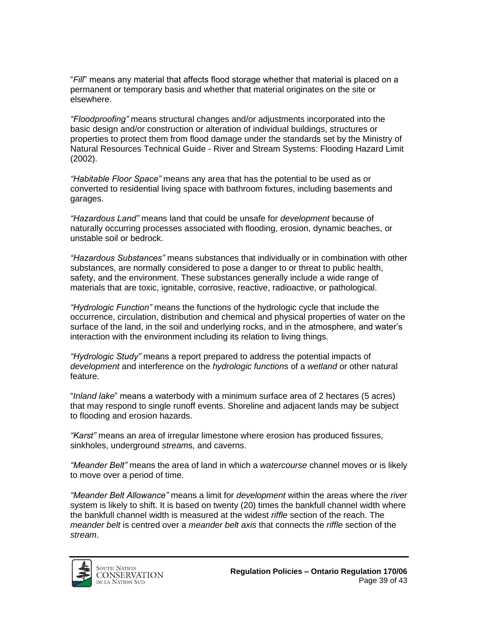"*Fill*" means any material that affects flood storage whether that material is placed on a permanent or temporary basis and whether that material originates on the site or elsewhere.

*"Floodproofing"* means structural changes and/or adjustments incorporated into the basic design and/or construction or alteration of individual buildings, structures or properties to protect them from flood damage under the standards set by the Ministry of Natural Resources Technical Guide - River and Stream Systems: Flooding Hazard Limit (2002).

*"Habitable Floor Space"* means any area that has the potential to be used as or converted to residential living space with bathroom fixtures, including basements and garages.

*"Hazardous Land"* means land that could be unsafe for *development* because of naturally occurring processes associated with flooding, erosion, dynamic beaches, or unstable soil or bedrock.

*"Hazardous Substances"* means substances that individually or in combination with other substances, are normally considered to pose a danger to or threat to public health, safety, and the environment. These substances generally include a wide range of materials that are toxic, ignitable, corrosive, reactive, radioactive, or pathological.

*"Hydrologic Function"* means the functions of the hydrologic cycle that include the occurrence, circulation, distribution and chemical and physical properties of water on the surface of the land, in the soil and underlying rocks, and in the atmosphere, and water's interaction with the environment including its relation to living things.

*"Hydrologic Study"* means a report prepared to address the potential impacts of *development* and interference on the *hydrologic function*s of a *wetland* or other natural feature.

"*Inland lake*" means a waterbody with a minimum surface area of 2 hectares (5 acres) that may respond to single runoff events. Shoreline and adjacent lands may be subject to flooding and erosion hazards.

*"Karst"* means an area of irregular limestone where erosion has produced fissures, sinkholes, underground *stream*s, and caverns.

*"Meander Belt"* means the area of land in which a *watercourse* channel moves or is likely to move over a period of time.

*"Meander Belt Allowance"* means a limit for *development* within the areas where the *river*  system is likely to shift. It is based on twenty (20) times the bankfull channel width where the bankfull channel width is measured at the widest *riffle* section of the reach. The *meander belt* is centred over a *meander belt axis* that connects the *riffle* section of the *stream*.

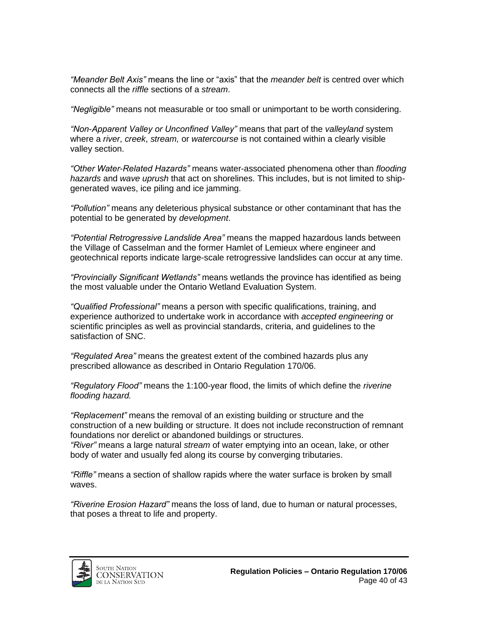*"Meander Belt Axis"* means the line or "axis" that the *meander belt* is centred over which connects all the *riffle* sections of a *stream*.

*"Negligible"* means not measurable or too small or unimportant to be worth considering.

*"Non-Apparent Valley or Unconfined Valley"* means that part of the *valleyland* system where a *river*, *creek*, *stream,* or *watercourse* is not contained within a clearly visible valley section.

*"Other Water-Related Hazards"* means water-associated phenomena other than *flooding hazards* and *wave uprush* that act on shorelines. This includes, but is not limited to shipgenerated waves, ice piling and ice jamming.

*"Pollution"* means any deleterious physical substance or other contaminant that has the potential to be generated by *development*.

*"Potential Retrogressive Landslide Area"* means the mapped hazardous lands between the Village of Casselman and the former Hamlet of Lemieux where engineer and geotechnical reports indicate large-scale retrogressive landslides can occur at any time.

*"Provincially Significant Wetlands"* means wetlands the province has identified as being the most valuable under the Ontario Wetland Evaluation System.

*"Qualified Professional"* means a person with specific qualifications, training, and experience authorized to undertake work in accordance with *accepted engineering* or scientific principles as well as provincial standards, criteria, and guidelines to the satisfaction of SNC.

*"Regulated Area"* means the greatest extent of the combined hazards plus any prescribed allowance as described in Ontario Regulation 170/06.

*"Regulatory Flood"* means the 1:100-year flood, the limits of which define the *riverine flooding hazard.* 

*"Replacement"* means the removal of an existing building or structure and the construction of a new building or structure. It does not include reconstruction of remnant foundations nor derelict or abandoned buildings or structures.

*"River"* means a large natural *stream* of water emptying into an ocean, lake, or other body of water and usually fed along its course by converging tributaries.

*"Riffle"* means a section of shallow rapids where the water surface is broken by small waves.

*"Riverine Erosion Hazard"* means the loss of land, due to human or natural processes, that poses a threat to life and property.

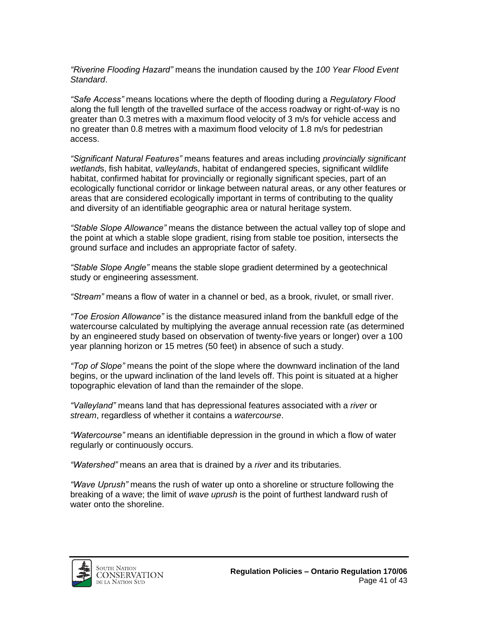*"Riverine Flooding Hazard"* means the inundation caused by the *100 Year Flood Event Standard*.

*"Safe Access"* means locations where the depth of flooding during a *Regulatory Flood* along the full length of the travelled surface of the access roadway or right-of-way is no greater than 0.3 metres with a maximum flood velocity of 3 m/s for vehicle access and no greater than 0.8 metres with a maximum flood velocity of 1.8 m/s for pedestrian access.

*"Significant Natural Features"* means features and areas including *provincially significant wetland*s, fish habitat, *valleyland*s, habitat of endangered species, significant wildlife habitat, confirmed habitat for provincially or regionally significant species, part of an ecologically functional corridor or linkage between natural areas, or any other features or areas that are considered ecologically important in terms of contributing to the quality and diversity of an identifiable geographic area or natural heritage system.

*"Stable Slope Allowance"* means the distance between the actual valley top of slope and the point at which a stable slope gradient, rising from stable toe position, intersects the ground surface and includes an appropriate factor of safety.

*"Stable Slope Angle"* means the stable slope gradient determined by a geotechnical study or engineering assessment.

*"Stream"* means a flow of water in a channel or bed, as a brook, rivulet, or small river.

*"Toe Erosion Allowance"* is the distance measured inland from the bankfull edge of the watercourse calculated by multiplying the average annual recession rate (as determined by an engineered study based on observation of twenty-five years or longer) over a 100 year planning horizon or 15 metres (50 feet) in absence of such a study.

*"Top of Slope"* means the point of the slope where the downward inclination of the land begins, or the upward inclination of the land levels off. This point is situated at a higher topographic elevation of land than the remainder of the slope.

*"Valleyland"* means land that has depressional features associated with a *river* or *stream*, regardless of whether it contains a *watercourse*.

*"Watercourse"* means an identifiable depression in the ground in which a flow of water regularly or continuously occurs.

*"Watershed"* means an area that is drained by a *river* and its tributaries.

*"Wave Uprush"* means the rush of water up onto a shoreline or structure following the breaking of a wave; the limit of *wave uprush* is the point of furthest landward rush of water onto the shoreline.

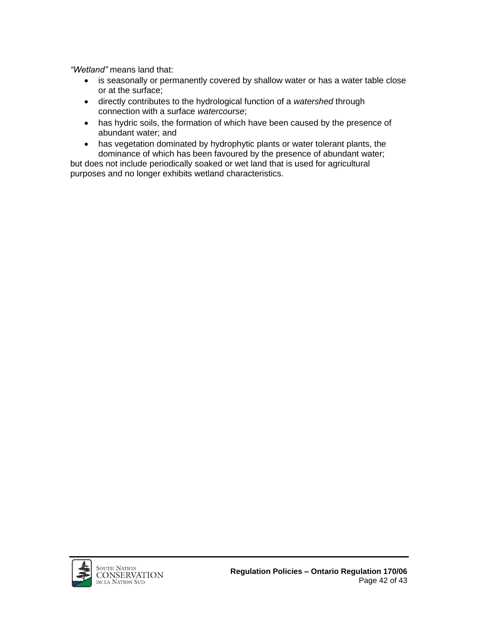*"Wetland"* means land that:

- is seasonally or permanently covered by shallow water or has a water table close or at the surface;
- directly contributes to the hydrological function of a *watershed* through connection with a surface *watercourse*;
- has hydric soils, the formation of which have been caused by the presence of abundant water; and
- has vegetation dominated by hydrophytic plants or water tolerant plants, the dominance of which has been favoured by the presence of abundant water;

but does not include periodically soaked or wet land that is used for agricultural purposes and no longer exhibits wetland characteristics.